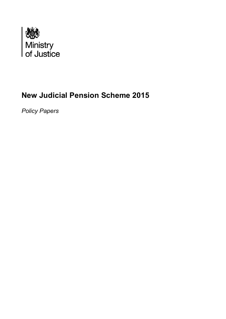

# **New Judicial Pension Scheme 2015**

*Policy Papers*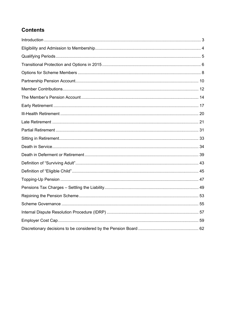## **Contents**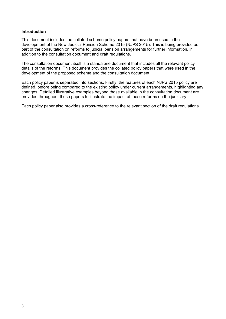#### **Introduction**

This document includes the collated scheme policy papers that have been used in the development of the New Judicial Pension Scheme 2015 (NJPS 2015). This is being provided as part of the consultation on reforms to judicial pension arrangements for further information, in addition to the consultation document and draft regulations.

The consultation document itself is a standalone document that includes all the relevant policy details of the reforms. This document provides the collated policy papers that were used in the development of the proposed scheme and the consultation document.

Each policy paper is separated into sections. Firstly, the features of each NJPS 2015 policy are defined, before being compared to the existing policy under current arrangements, highlighting any changes. Detailed illustrative examples beyond those available in the consultation document are provided throughout these papers to illustrate the impact of these reforms on the judiciary.

Each policy paper also provides a cross-reference to the relevant section of the draft regulations.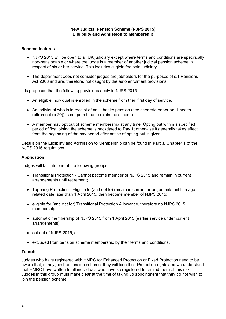- NJPS 2015 will be open to all UK judiciary except where terms and conditions are specifically non-pensionable or where the judge is a member of another judicial pension scheme in respect of his or her service. This includes eligible fee paid judiciary.
- The department does not consider judges are jobholders for the purposes of s.1 Pensions Act 2008 and are, therefore, not caught by the auto enrolment provisions.

It is proposed that the following provisions apply in NJPS 2015.

- An eligible individual is enrolled in the scheme from their first day of service.
- An individual who is in receipt of an ill-health pension (see separate paper on ill-health retirement (p.20)) is not permitted to rejoin the scheme.
- A member may opt out of scheme membership at any time. Opting out within a specified period of first joining the scheme is backdated to Day 1; otherwise it generally takes effect from the beginning of the pay period after notice of opting-out is given.

Details on the Eligibility and Admission to Membership can be found in **Part 3, Chapter 1** of the NJPS 2015 regulations.

### **Application**

Judges will fall into one of the following groups:

- Transitional Protection Cannot become member of NJPS 2015 and remain in current arrangements until retirement;
- Tapering Protection Eligible to (and opt to) remain in current arrangements until an agerelated date later than 1 April 2015, then become member of NJPS 2015;
- eligible for (and opt for) Transitional Protection Allowance, therefore no NJPS 2015 membership;
- automatic membership of NJPS 2015 from 1 April 2015 (earlier service under current arrangements);
- opt out of NJPS 2015; or
- excluded from pension scheme membership by their terms and conditions.

## **To note**

Judges who have registered with HMRC for Enhanced Protection or Fixed Protection need to be aware that, if they join the pension scheme, they will lose their Protection rights and we understand that HMRC have written to all individuals who have so registered to remind them of this risk. Judges in this group must make clear at the time of taking up appointment that they do not wish to join the pension scheme.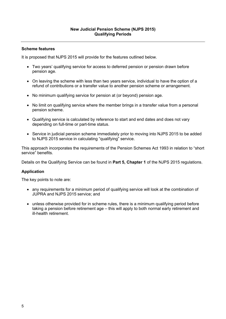It is proposed that NJPS 2015 will provide for the features outlined below.

- Two years' qualifying service for access to deferred pension or pension drawn before pension age.
- On leaving the scheme with less than two years service, individual to have the option of a refund of contributions or a transfer value to another pension scheme or arrangement.
- No minimum qualifying service for pension at (or beyond) pension age.
- No limit on qualifying service where the member brings in a transfer value from a personal pension scheme.
- Qualifying service is calculated by reference to start and end dates and does not vary depending on full-time or part-time status.
- Service in judicial pension scheme immediately prior to moving into NJPS 2015 to be added to NJPS 2015 service in calculating "qualifying" service.

This approach incorporates the requirements of the Pension Schemes Act 1993 in relation to "short service" benefits.

Details on the Qualifying Service can be found in **Part 5, Chapter 1** of the NJPS 2015 regulations.

## **Application**

The key points to note are:

- any requirements for a minimum period of qualifying service will look at the combination of JUPRA and NJPS 2015 service; and
- unless otherwise provided for in scheme rules, there is a minimum qualifying period before taking a pension before retirement age – this will apply to both normal early retirement and ill-health retirement.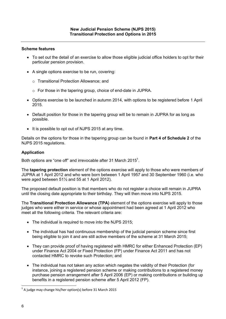- To set out the detail of an exercise to allow those eligible judicial office holders to opt for their particular pension provision.
- A single options exercise to be run, covering:
	- o Transitional Protection Allowance; and
	- o For those in the tapering group, choice of end-date in JUPRA.
- Options exercise to be launched in autumn 2014, with options to be registered before 1 April 2015.
- Default position for those in the tapering group will be to remain in JUPRA for as long as possible.
- It is possible to opt out of NJPS 2015 at any time.

Details on the options for those in the tapering group can be found in **Part 4 of Schedule 2** of the NJPS 2015 regulations.

## **Application**

Both options are "one off" and irrevocable after 31 March 2015<sup>1</sup>.

The **tapering protection** element of the options exercise will apply to those who were members of JUPRA at 1 April 2012 and who were born between 1 April 1957 and 30 September 1960 (i.e. who were aged between 51½ and 55 at 1 April 2012).

The proposed default position is that members who do not register a choice will remain in JUPRA until the closing date appropriate to their birthday. They will then move into NJPS 2015.

The **Transitional Protection Allowance (TPA)** element of the options exercise will apply to those judges who were either in service or whose appointment had been agreed at 1 April 2012 who meet all the following criteria. The relevant criteria are:

- The individual is required to move into the NJPS 2015;
- The individual has had continuous membership of the judicial pension scheme since first being eligible to join it and are still active members of the scheme at 31 March 2015;
- They can provide proof of having registered with HMRC for either Enhanced Protection (EP) under Finance Act 2004 or Fixed Protection (FP) under Finance Act 2011 and has not contacted HMRC to revoke such Protection; and
- The individual has not taken any action which negates the validity of their Protection (for instance, joining a registered pension scheme or making contributions to a registered money purchase pension arrangement after 5 April 2006 (EP) or making contributions or building up benefits in a registered pension scheme after 5 April 2012 (FP).

 $1$  A judge may change his/her option(s) before 31 March 2015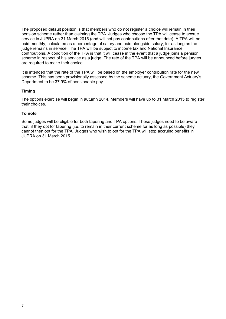The proposed default position is that members who do not register a choice will remain in their pension scheme rather than claiming the TPA. Judges who choose the TPA will cease to accrue service in JUPRA on 31 March 2015 (and will not pay contributions after that date). A TPA will be paid monthly, calculated as a percentage of salary and paid alongside salary, for as long as the judge remains in service. The TPA will be subject to income tax and National Insurance contributions. A condition of the TPA is that it will cease in the event that a judge joins a pension scheme in respect of his service as a judge. The rate of the TPA will be announced before judges are required to make their choice.

It is intended that the rate of the TPA will be based on the employer contribution rate for the new scheme. This has been provisionally assessed by the scheme actuary, the Government Actuary's Department to be 37.9% of pensionable pay.

## **Timing**

The options exercise will begin in autumn 2014. Members will have up to 31 March 2015 to register their choices.

## **To note**

Some judges will be eligible for both tapering and TPA options. These judges need to be aware that, if they opt for tapering (i.e. to remain in their current scheme for as long as possible) they cannot then opt for the TPA. Judges who wish to opt for the TPA will stop accruing benefits in JUPRA on 31 March 2015.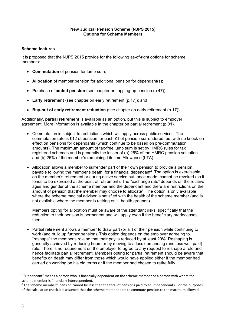It is proposed that the NJPS 2015 provide for the following as-of-right options for scheme members:

- **Commutation** of pension for lump sum;
- **Allocation** of member pension for additional pension for dependant(s);
- Purchase of **added pension** (see chapter on topping-up pension (p.47));
- **Early retirement** (see chapter on early retirement (p.17)); and
- **Buy-out of early retirement reduction** (see chapter on early retirement (p.17)).

Additionally, **partial retirement** is available as an option, but this is subject to employer agreement. More information is available in the chapter on partial retirement (p.31).

- Commutation is subject to restrictions which will apply across public services. The commutation rate is £12 of pension for each £1 of pension surrendered, but with no knock-on effect on pensions for dependants (which continue to be based on pre-commutation amounts). The maximum amount of tax-free lump sum is set by HMRC rules for tax registered schemes and is generally the lesser of (a) 25% of the HMRC pension valuation and (b) 25% of the member's remaining Lifetime Allowance (LTA).
- Allocation allows a member to surrender part of their own pension to provide a pension, payable following the member's death, for a financial dependant<sup>2</sup>. The option is exercisable on the member's retirement or during active service but, once made, cannot be revoked (so it tends to be exercised at the point of retirement). The "exchange rate" depends on the relative ages and gender of the scheme member and the dependant and there are restrictions on the amount of pension that the member may choose to allocate<sup>3</sup>. The option is only available where the scheme medical adviser is satisfied with the health of the scheme member (and is not available where the member is retiring on ill-health grounds).

Members opting for allocation must be aware of the attendant risks, specifically that the reduction to their pension is permanent and will apply even if the beneficiary predeceases them.

• Partial retirement allows a member to draw part (or all) of their pension while continuing to work (and build up further pension). This option depends on the employer agreeing to "reshape" the member's role so that their pay is reduced by at least 20%. Reshaping is generally achieved by reducing hours or by moving to a less demanding (and less well-paid) role. There is no requirement on the employer to agree to any request to reshape a role and hence facilitate partial retirement. Members opting for partial retirement should be aware that benefits on death may differ from those which would have applied either if the member had carried on working on his old terms or if the member had chosen to retire fully.

 $2$  "Dependant" means a person who is financially dependent on the scheme member or a person with whom the scheme member is financially interdependent.<br><sup>3</sup> The scheme member's pension cannot be less than the total of pensions paid to adult dependants. For the purposes

of the calculation check it is assumed that the scheme member opts to commute pension to the maximum allowed.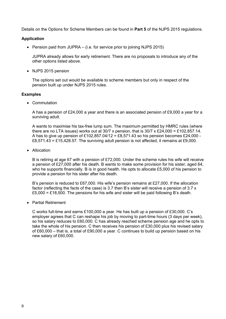Details on the Options for Scheme Members can be found in **Part 5** of the NJPS 2015 regulations.

## **Application**

• Pension paid from JUPRA – (i.e. for service prior to joining NJPS 2015)

JUPRA already allows for early retirement. There are no proposals to introduce any of the other options listed above.

• NJPS 2015 pension

The options set out would be available to scheme members but only in respect of the pension built up under NJPS 2015 rules.

#### **Examples**

• Commutation

A has a pension of £24,000 a year and there is an associated pension of £9,000 a year for a surviving adult.

A wants to maximise his tax-free lump sum. The maximum permitted by HMRC rules (where there are no LTA issues) works out at  $30/7$  x pension, that is  $30/7 \times £24,000 = £102,857,14$ . A has to give up pension of £102,857,04/12 = £8,571,43 so his pension becomes £24,000 -£8,571.43 = £15,428.57. The surviving adult pension is not affected, it remains at £9,000.

• Allocation

B is retiring at age 67 with a pension of £72,000. Under the scheme rules his wife will receive a pension of £27,000 after his death. B wants to make some provision for his sister, aged 64, who he supports financially. B is in good health. He opts to allocate £5,000 of his pension to provide a pension for his sister after his death.

B's pension is reduced to £67,000. His wife's pension remains at £27,000. If the allocation factor (reflecting the facts of the case) is 3.7 then B's sister will receive a pension of 3.7 x £5,000 = £18,500. The pensions for his wife and sister will be paid following B's death.

Partial Retirement

C works full-time and earns £100,000 a year. He has built up a pension of £30,000. C's employer agrees that C can reshape his job by moving to part-time hours (3 days per week), so his salary reduces to £60,000. C has already reached scheme pension age and he opts to take the whole of his pension. C then receives his pension of £30,000 plus his revised salary of £60,000 – that is, a total of £90,000 a year. C continues to build up pension based on his new salary of £60,000.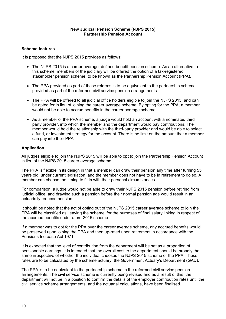It is proposed that the NJPS 2015 provides as follows:

- The NJPS 2015 is a career average, defined benefit pension scheme. As an alternative to this scheme, members of the judiciary will be offered the option of a tax-registered stakeholder pension scheme, to be known as the Partnership Pension Account (PPA).
- The PPA provided as part of these reforms is to be equivalent to the partnership scheme provided as part of the reformed civil service pension arrangements.
- The PPA will be offered to all judicial office holders eligible to join the NJPS 2015, and can be opted for in lieu of joining the career average scheme. By opting for the PPA, a member would not be able to accrue benefits in the career average scheme.
- As a member of the PPA scheme, a judge would hold an account with a nominated third party provider, into which the member and the department would pay contributions. The member would hold the relationship with the third-party provider and would be able to select a fund, or investment strategy for the account. There is no limit on the amount that a member can pay into their PPA.

## **Application**

All judges eligible to join the NJPS 2015 will be able to opt to join the Partnership Pension Account in lieu of the NJPS 2015 career average scheme.

The PPA is flexible in its design in that a member can draw their pension any time after turning 55 years old, under current legislation, and the member does not have to be in retirement to do so. A member can choose the timing to fit in with their personal circumstances.

For comparison, a judge would not be able to draw their NJPS 2015 pension before retiring from judicial office, and drawing such a pension before their normal pension age would result in an actuarially reduced pension.

It should be noted that the act of opting out of the NJPS 2015 career average scheme to join the PPA will be classified as 'leaving the scheme' for the purposes of final salary linking in respect of the accrued benefits under a pre-2015 scheme.

If a member was to opt for the PPA over the career average scheme, any accrued benefits would be preserved upon joining the PPA and then up-rated upon retirement in accordance with the Pensions Increase Act 1971.

It is expected that the level of contribution from the department will be set as a proportion of pensionable earnings. It is intended that the overall cost to the department should be broadly the same irrespective of whether the individual chooses the NJPS 2015 scheme or the PPA. These rates are to be calculated by the scheme actuary, the Government Actuary's Department (GAD).

The PPA is to be equivalent to the partnership scheme in the reformed civil service pension arrangements. The civil service scheme is currently being revised and as a result of this, the department will not be in a position to confirm the details of the employer contribution rates until the civil service scheme arrangements, and the actuarial calculations, have been finalised.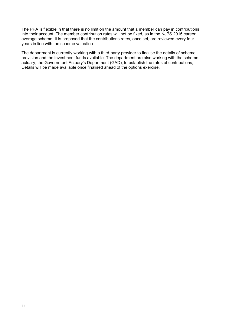The PPA is flexible in that there is no limit on the amount that a member can pay in contributions into their account. The member contribution rates will not be fixed, as in the NJPS 2015 career average scheme. It is proposed that the contributions rates, once set, are reviewed every four years in line with the scheme valuation.

The department is currently working with a third-party provider to finalise the details of scheme provision and the investment funds available. The department are also working with the scheme actuary, the Government Actuary's Department (GAD), to establish the rates of contributions, Details will be made available once finalised ahead of the options exercise.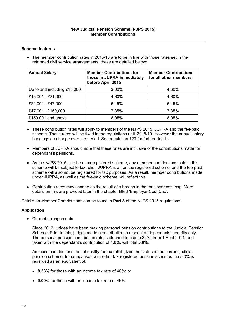• The member contribution rates in 2015/16 are to be in line with those rates set in the reformed civil service arrangements, these are detailed below:

| <b>Annual Salary</b>        | <b>Member Contributions for</b><br>those in JUPRA immediately<br>before April 2015 | <b>Member Contributions</b><br>for all other members |
|-----------------------------|------------------------------------------------------------------------------------|------------------------------------------------------|
| Up to and including £15,000 | 3.00%                                                                              | 4.60%                                                |
| £15,001 - £21,000           | 4.60%                                                                              | 4.60%                                                |
| £21,001 - £47,000           | 5.45%                                                                              | 5.45%                                                |
| £47,001 - £150,000          | 7.35%                                                                              | 7.35%                                                |
| £150,001 and above          | 8.05%                                                                              | 8.05%                                                |

- These contribution rates will apply to members of the NJPS 2015, JUPRA and the fee-paid scheme. These rates will be fixed in the regulations until 2018/19. However the annual salary bandings do change over the period. See regulation 123 for further details.
- Members of JUPRA should note that these rates are inclusive of the contributions made for dependant's pensions.
- As the NJPS 2015 is to be a tax-registered scheme, any member contributions paid in this scheme will be subject to tax relief. JUPRA is a non tax registered scheme, and the fee-paid scheme will also not be registered for tax purposes. As a result, member contributions made under JUPRA, as well as the fee-paid scheme, will reflect this.
- Contribution rates may change as the result of a breach in the employer cost cap. More details on this are provided later in the chapter titled 'Employer Cost Cap'.

Details on Member Contributions can be found in **Part 8** of the NJPS 2015 regulations.

## **Application**

Current arrangements

Since 2012, judges have been making personal pension contributions to the Judicial Pension Scheme. Prior to this, judges made a contribution in respect of dependants' benefits only. The personal pension contribution rate is planned to rise to 3.2% from 1 April 2014, and taken with the dependant's contribution of 1.8%, will total **5.0%.**

As these contributions do not qualify for tax relief given the status of the current judicial pension scheme, for comparison with other tax-registered pension schemes the 5.0% is regarded as an equivalent of:

- **8.33%** for those with an income tax rate of 40%; or
- **9.09%** for those with an income tax rate of 45%.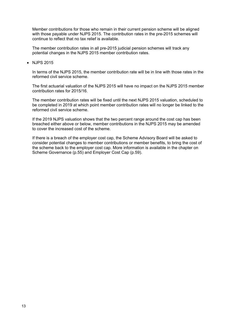Member contributions for those who remain in their current pension scheme will be aligned with those payable under NJPS 2015. The contribution rates in the pre-2015 schemes will continue to reflect that no tax relief is available.

The member contribution rates in all pre-2015 judicial pension schemes will track any potential changes in the NJPS 2015 member contribution rates.

• NJPS 2015

In terms of the NJPS 2015, the member contribution rate will be in line with those rates in the reformed civil service scheme.

The first actuarial valuation of the NJPS 2015 will have no impact on the NJPS 2015 member contribution rates for 2015/16.

The member contribution rates will be fixed until the next NJPS 2015 valuation, scheduled to be completed in 2019 at which point member contribution rates will no longer be linked to the reformed civil service scheme.

If the 2019 NJPS valuation shows that the two percent range around the cost cap has been breached either above or below, member contributions in the NJPS 2015 may be amended to cover the increased cost of the scheme.

If there is a breach of the employer cost cap, the Scheme Advisory Board will be asked to consider potential changes to member contributions or member benefits, to bring the cost of the scheme back to the employer cost cap. More information is available in the chapter on Scheme Governance (p.55) and Employer Cost Cap (p.59).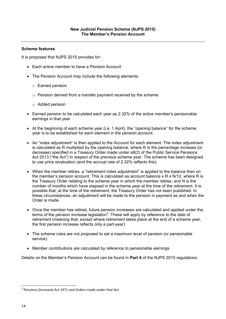It is proposed that NJPS 2015 provides for:

- Each active member to have a Pension Account
- The Pension Account may include the following elements:
	- o Earned pension
	- o Pension derived from a transfer payment received by the scheme
	- o Added pension
- Earned pension to be calculated each year as 2.32% of the active member's pensionable earnings in that year
- At the beginning of each scheme year (i.e. 1 April), the "opening balance" for the scheme year is to be established for each element in the pension account.
- An "index adjustment" is then applied to the Account for each element. The index adjustment is calculated as R multiplied by the opening balance, where R is the percentage increase (or decrease) specified in a Treasury Order made under s9(2) of the Public Service Pensions Act 2013 ("the Act") in respect of the previous scheme year. The scheme has been designed to use price revaluation (and the accrual rate of 2.32% reflects this).
- When the member retires, a "retirement index adjustment" is applied to the balance then on the member's pension account. This is calculated as account balance x R x N/12, where R is the Treasury Order relating to the scheme year in which the member retires, and N is the number of months which have elapsed in the scheme year at the time of the retirement. It is possible that, at the time of the retirement, the Treasury Order has not been published. In these circumstances, an adjustment will be made to the pension in payment as and when the Order is made.
- Once the member has retired, future pension increases are calculated and applied under the terms of the pension increase legislation<sup>4</sup>. These will apply by reference to the date of retirement (meaning that, except where retirement takes place at the end of a scheme year, the first pension increase reflects only a part-year)
- The scheme rules are not proposed to set a maximum level of pension (or pensionable service).
- Member contributions are calculated by reference to pensionable earnings

Details on the Member's Pension Account can be found in **Part 4** of the NJPS 2015 regulations.

 $4$  Pensions (Increase) Act 1971 and Orders made under that Act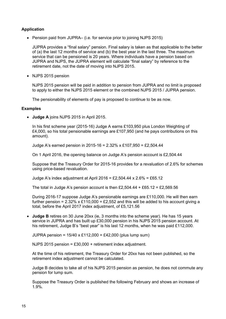## **Application**

• Pension paid from JUPRA– (i.e. for service prior to joining NJPS 2015)

JUPRA provides a "final salary" pension. Final salary is taken as that applicable to the better of (a) the last 12 months of service and (b) the best year in the last three. The maximum service that can be pensioned is 20 years. Where individuals have a pension based on JUPRA and NJPS, the JUPRA element will calculate "final salary" by reference to the retirement date, not the date of moving into NJPS 2015.

• NJPS 2015 pension

NJPS 2015 pension will be paid in addition to pension from JUPRA and no limit is proposed to apply to either the NJPS 2015 element or the combined NJPS 2015 / JUPRA pension.

The pensionability of elements of pay is proposed to continue to be as now.

#### **Examples**

**Judge A** joins NJPS 2015 in April 2015.

In his first scheme year (2015-16) Judge A earns £103,950 plus London Weighting of £4,000, so his total pensionable earnings are £107,950 (and he pays contributions on this amount).

Judge A's earned pension in 2015-16 = 2.32% x £107,950 = £2,504.44

On 1 April 2016, the opening balance on Judge A's pension account is £2,504.44

Suppose that the Treasury Order for 2015-16 provides for a revaluation of 2.6% for schemes using price-based revaluation.

Judge A's index adjustment at April 2016 = £2,504.44 x 2.6% = £65.12

The total in Judge A's pension account is then £2,504.44 + £65.12 = £2,569.56

During 2016-17 suppose Judge A's pensionable earnings are £110,000. He will then earn further pension =  $2.32\%$  x £110,000 = £2,552 and this will be added to his account giving a total, before the April 2017 index adjustment, of £5,121.56

 **Judge B** retires on 30 June 20xx (ie, 3 months into the scheme year). He has 15 years service in JUPRA and has built up £30,000 pension in his NJPS 2015 pension account. At his retirement, Judge B's "best year" is his last 12 months, when he was paid £112,000.

JUPRA pension =  $15/40 \times £112,000 = £42,000$  (plus lump sum)

NJPS 2015 pension = £30,000 + retirement index adjustment.

At the time of his retirement, the Treasury Order for 20xx has not been published, so the retirement index adjustment cannot be calculated.

Judge B decides to take all of his NJPS 2015 pension as pension, he does not commute any pension for lump sum.

Suppose the Treasury Order is published the following February and shows an increase of 1.9%.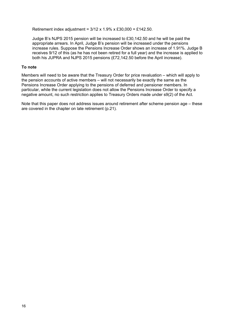Retirement index adjustment = 3/12 x 1.9% x £30,000 = £142.50.

Judge B's NJPS 2015 pension will be increased to £30,142.50 and he will be paid the appropriate arrears. In April, Judge B's pension will be increased under the pensions increase rules. Suppose the Pensions Increase Order shows an increase of 1.91%. Judge B receives 9/12 of this (as he has not been retired for a full year) and the increase is applied to both his JUPRA and NJPS 2015 pensions (£72,142.50 before the April increase).

## **To note**

Members will need to be aware that the Treasury Order for price revaluation – which will apply to the pension accounts of active members – will not necessarily be exactly the same as the Pensions Increase Order applying to the pensions of deferred and pensioner members. In particular, while the current legislation does not allow the Pensions Increase Order to specify a negative amount, no such restriction applies to Treasury Orders made under s9(2) of the Act.

Note that this paper does not address issues around retirement after scheme pension age – these are covered in the chapter on late retirement (p.21).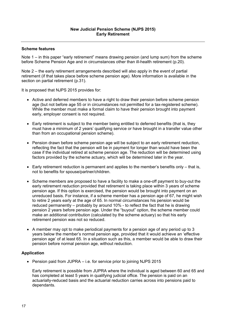Note 1 – in this paper "early retirement" means drawing pension (and lump sum) from the scheme before Scheme Pension Age and in circumstances other than ill-health retirement (p.20).

Note 2 – the early retirement arrangements described will also apply in the event of partial retirement (if that takes place before scheme pension age). More information is available in the section on partial retirement (p.31).

It is proposed that NJPS 2015 provides for:

- Active and deferred members to have a right to draw their pension before scheme pension age (but not before age 55 or in circumstances not permitted for a tax-registered scheme). While the member must make a formal claim to have their pension brought into payment early, employer consent is not required.
- Early retirement is subject to the member being entitled to deferred benefits (that is, they must have a minimum of 2 years' qualifying service or have brought in a transfer value other than from an occupational pension scheme).
- Pension drawn before scheme pension age will be subject to an early retirement reduction, reflecting the fact that the pension will be in payment for longer than would have been the case if the individual retired at scheme pension age. The reduction will be determined using factors provided by the scheme actuary, which will be determined later in the year.
- $\bullet$  Early retirement reduction is permanent and applies to the member's benefits only  $-$  that is, not to benefits for spouse/partner/children.
- Scheme members are proposed to have a facility to make a one-off payment to buy-out the early retirement reduction provided that retirement is taking place within 3 years of scheme pension age. If this option is exercised, the pension would be brought into payment on an unreduced basis. For instance, if a scheme member has a pension age of 67, he might wish to retire 2 years early at the age of 65. In normal circumstances his pension would be reduced permanently – probably by around 10% - to reflect the fact that he is drawing pension 2 years before pension age. Under the "buyout" option, the scheme member could make an additional contribution (calculated by the scheme actuary) so that his early retirement pension was not so reduced.
- A member may opt to make periodical payments for a pension age of any period up to 3 years below the member's normal pension age, provided that it would achieve an 'effective pension age' of at least 65. In a situation such as this, a member would be able to draw their pension before normal pension age, without reduction.

## **Application**

• Pension paid from JUPRA – i.e. for service prior to joining NJPS 2015

Early retirement is possible from JUPRA where the individual is aged between 60 and 65 and has completed at least 5 years in qualifying judicial office. The pension is paid on an actuarially-reduced basis and the actuarial reduction carries across into pensions paid to dependants.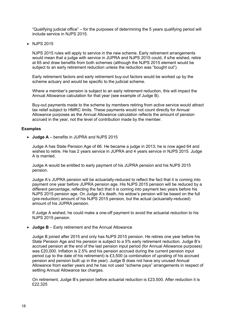"Qualifying judicial office" – for the purposes of determining the 5 years qualifying period will include service in NJPS 2015.

• NJPS 2015

NJPS 2015 rules will apply to service in the new scheme. Early retirement arrangements would mean that a judge with service in JUPRA and NJPS 2015 could, if s/he wished, retire at 65 and draw benefits from both schemes (although the NJPS 2015 element would be subject to an early retirement reduction unless the reduction was "bought out").

Early retirement factors and early retirement buy-out factors would be worked up by the scheme actuary and would be specific to the judicial scheme.

Where a member's pension is subject to an early retirement reduction, this will impact the Annual Allowance calculation for that year (see example of Judge B).

Buy-out payments made to the scheme by members retiring from active service would attract tax relief subject to HMRC limits. These payments would not count directly for Annual Allowance purposes as the Annual Allowance calculation reflects the amount of pension accrued in the year, not the level of contribution made by the member.

#### **Examples**

**Judge A** – benefits in JUPRA and NJPS 2015

Judge A has State Pension Age of 66. He became a judge in 2013; he is now aged 64 and wishes to retire. He has 2 years service in JUPRA and 4 years service in NJPS 2015. Judge A is married.

Judge A would be entitled to early payment of his JUPRA pension and his NJPS 2015 pension.

Judge A's JUPRA pension will be actuarially-reduced to reflect the fact that it is coming into payment one year before JUPRA pension age. His NJPS 2015 pension will be reduced by a different percentage, reflecting the fact that it is coming into payment two years before his NJPS 2015 pension age. On Judge A's death, his widow's pension will be based on the full (pre-reduction) amount of his NJPS 2015 pension, but the actual (actuarially-reduced) amount of his JUPRA pension.

If Judge A wished, he could make a one-off payment to avoid the actuarial reduction to his NJPS 2015 pension.

**Judge B** – Early retirement and the Annual Allowance

Judge B joined after 2015 and only has NJPS 2015 pension. He retires one year before his State Pension Age and his pension is subject to a 5% early retirement reduction. Judge B's accrued pension at the end of the last pension input period (for Annual Allowance purposes) was £20,000. Inflation is 2.5% and his pension accrued during the current pension input period (up to the date of his retirement) is £3,500 (a combination of uprating of his accrued pension and pension built up in the year). Judge B does not have any unused Annual Allowance from earlier years and he has not used "scheme pays" arrangements in respect of settling Annual Allowance tax charges.

On retirement, Judge B's pension before actuarial reduction is £23,500. After reduction it is £22,325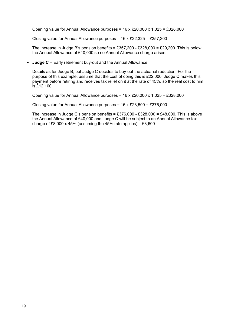Opening value for Annual Allowance purposes =  $16 \times £20,000 \times 1.025 = £328,000$ 

Closing value for Annual Allowance purposes =  $16 \times £22,325 = £357,200$ 

The increase in Judge B's pension benefits = £357,200 - £328,000 = £29,200. This is below the Annual Allowance of £40,000 so no Annual Allowance charge arises.

**Judge C** – Early retirement buy-out and the Annual Allowance

Details as for Judge B, but Judge C decides to buy-out the actuarial reduction. For the purpose of this example, assume that the cost of doing this is £22,000. Judge C makes this payment before retiring and receives tax relief on it at the rate of 45%, so the real cost to him is £12,100.

Opening value for Annual Allowance purposes =  $16 \times £20,000 \times 1.025 = £328,000$ 

Closing value for Annual Allowance purposes =  $16 \times £23,500 = £376,000$ 

The increase in Judge C's pension benefits =  $£376,000 - £328,000 = £48,000$ . This is above the Annual Allowance of £40,000 and Judge C will be subject to an Annual Allowance tax charge of £8,000 x 45% (assuming the 45% rate applies) = £3,600.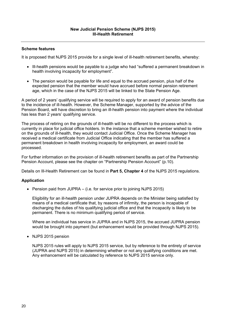It is proposed that NJPS 2015 provide for a single level of ill-health retirement benefits, whereby:

- Ill-health pensions would be payable to a judge who had "suffered a permanent breakdown in health involving incapacity for employment".
- The pension would be payable for life and equal to the accrued pension, plus half of the expected pension that the member would have accrued before normal pension retirement age, which in the case of the NJPS 2015 will be linked to the State Pension Age.

A period of 2 years' qualifying service will be required to apply for an award of pension benefits due to the incidence of ill-health. However, the Scheme Manager, supported by the advice of the Pension Board, will have discretion to bring an ill-health pension into payment where the individual has less than 2 years' qualifying service.

The process of retiring on the grounds of ill-health will be no different to the process which is currently in place for judicial office holders. In the instance that a scheme member wished to retire on the grounds of ill-health, they would contact Judicial Office. Once the Scheme Manager has received a medical certificate from Judicial Office indicating that the member has suffered a permanent breakdown in health involving incapacity for employment, an award could be processed.

For further information on the provision of ill-health retirement benefits as part of the Partnership Pension Account, please see the chapter on "Partnership Pension Account" (p.10).

Details on Ill-Health Retirement can be found in **Part 5, Chapter 4** of the NJPS 2015 regulations.

## **Application**

• Pension paid from JUPRA – (i.e. for service prior to joining NJPS 2015)

Eligibility for an ill-health pension under JUPRA depends on the Minister being satisfied by means of a medical certificate that, by reasons of infirmity, the person is incapable of discharging the duties of his qualifying judicial office and that the incapacity is likely to be permanent. There is no minimum qualifying period of service.

Where an individual has service in JUPRA and in NJPS 2015, the accrued JUPRA pension would be brought into payment (but enhancement would be provided through NJPS 2015).

• NJPS 2015 pension

NJPS 2015 rules will apply to NJPS 2015 service, but by reference to the entirety of service (JUPRA and NJPS 2015) in determining whether or not any qualifying conditions are met. Any enhancement will be calculated by reference to NJPS 2015 service only.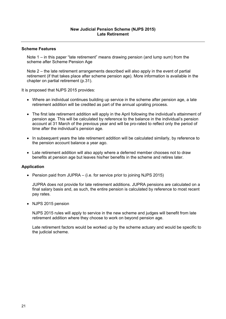Note 1 – in this paper "late retirement" means drawing pension (and lump sum) from the scheme after Scheme Pension Age

Note 2 – the late retirement arrangements described will also apply in the event of partial retirement (if that takes place after scheme pension age). More information is available in the chapter on partial retirement (p.31).

It is proposed that NJPS 2015 provides:

- Where an individual continues building up service in the scheme after pension age, a late retirement addition will be credited as part of the annual uprating process.
- The first late retirement addition will apply in the April following the individual's attainment of pension age. This will be calculated by reference to the balance in the individual's pension account at 31 March of the previous year and will be pro-rated to reflect only the period of time after the individual's pension age.
- In subsequent years the late retirement addition will be calculated similarly, by reference to the pension account balance a year ago.
- Late retirement addition will also apply where a deferred member chooses not to draw benefits at pension age but leaves his/her benefits in the scheme and retires later.

#### **Application**

• Pension paid from JUPRA  $-$  (i.e. for service prior to joining NJPS 2015)

JUPRA does not provide for late retirement additions. JUPRA pensions are calculated on a final salary basis and, as such, the entire pension is calculated by reference to most recent pay rates.

• NJPS 2015 pension

NJPS 2015 rules will apply to service in the new scheme and judges will benefit from late retirement addition where they choose to work on beyond pension age.

Late retirement factors would be worked up by the scheme actuary and would be specific to the judicial scheme.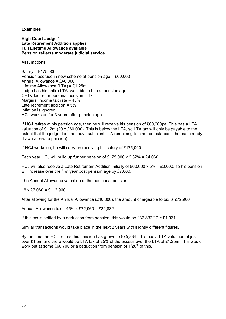**Examples** 

**High Court Judge 1 Late Retirement Addition applies Full Lifetime Allowance available Pension reflects moderate judicial service** 

Assumptions:

Salary = £175,000 Pension accrued in new scheme at pension age = £60,000 Annual Allowance = £40,000 Lifetime Allowance (LTA) = £1.25m. Judge has his entire LTA available to him at pension age CETV factor for personal pension = 17 Marginal income tax rate = 45% Late retirement addition = 5% Inflation is ignored HCJ works on for 3 years after pension age.

If HCJ retires at his pension age, then he will receive his pension of £60,000pa. This has a LTA valuation of £1.2m (20 x £60,000). This is below the LTA, so LTA tax will only be payable to the extent that the judge does not have sufficient LTA remaining to him (for instance, if he has already drawn a private pension).

If HCJ works on, he will carry on receiving his salary of £175,000

Each year HCJ will build up further pension of £175,000 x 2.32% = £4,060

HCJ will also receive a Late Retirement Addition initially of £60,000 x 5% = £3,000, so his pension will increase over the first year post pension age by £7,060.

The Annual Allowance valuation of the additional pension is:

 $16 \times \text{\pounds}7,060 = \text{\pounds}112,960$ 

After allowing for the Annual Allowance (£40,000), the amount chargeable to tax is £72,960

Annual Allowance tax = 45% x £72,960 = £32,832

If this tax is settled by a deduction from pension, this would be £32,832/17 = £1,931

Similar transactions would take place in the next 2 years with slightly different figures.

By the time the HCJ retires, his pension has grown to £75,834. This has a LTA valuation of just over £1.5m and there would be LTA tax of 25% of the excess over the LTA of £1.25m. This would work out at some £66,700 or a deduction from pension of  $1/20<sup>th</sup>$  of this.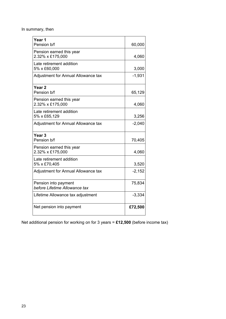In summary, then

| Year 1                              |          |
|-------------------------------------|----------|
| Pension b/f                         | 60,000   |
| Pension earned this year            |          |
| 2.32% x £175,000                    | 4,060    |
| Late retirement addition            |          |
| 5% x £60,000                        | 3,000    |
| Adjustment for Annual Allowance tax | $-1,931$ |
| Year <sub>2</sub>                   |          |
| Pension b/f                         | 65,129   |
| Pension earned this year            |          |
| 2.32% x £175,000                    | 4,060    |
| Late retirement addition            |          |
| 5% x £65,129                        | 3,256    |
| Adjustment for Annual Allowance tax | $-2,040$ |
| Year <sub>3</sub>                   |          |
| Pension b/f                         | 70,405   |
| Pension earned this year            |          |
| 2.32% x £175,000                    | 4,060    |
| Late retirement addition            |          |
| 5% x £70,405                        | 3,520    |
| Adjustment for Annual Allowance tax | $-2,152$ |
| Pension into payment                | 75,834   |
| before Lifetime Allowance tax       |          |
| Lifetime Allowance tax adjustment   | $-3,334$ |
| Net pension into payment            | £72,500  |

Net additional pension for working on for 3 years = **£12,500** (before income tax)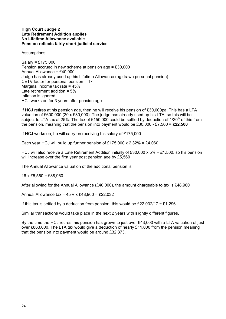#### **High Court Judge 2 Late Retirement Addition applies No Lifetime Allowance available Pension reflects fairly short judicial service**

Assumptions:

Salary = £175,000 Pension accrued in new scheme at pension age = £30,000 Annual Allowance = £40,000 Judge has already used up his Lifetime Allowance (eg drawn personal pension) CETV factor for personal pension = 17 Marginal income tax rate = 45% Late retirement addition = 5% Inflation is ignored HCJ works on for 3 years after pension age.

If HCJ retires at his pension age, then he will receive his pension of £30,000pa. This has a LTA valuation of £600,000 (20 x £30,000). The judge has already used up his LTA, so this will be subject to LTA tax at 25%. The tax of £150,000 could be settled by deduction of 1/20<sup>th</sup> of this from the pension, meaning that the pension into payment would be £30,000 - £7,500 = **£22,500**

If HCJ works on, he will carry on receiving his salary of £175,000

Each year HCJ will build up further pension of £175,000 x  $2.32\% = \text{\pounds}4,060$ 

HCJ will also receive a Late Retirement Addition initially of £30,000 x 5% = £1,500, so his pension will increase over the first year post pension age by £5,560

The Annual Allowance valuation of the additional pension is:

 $16 \times £5,560 = £88,960$ 

After allowing for the Annual Allowance (£40,000), the amount chargeable to tax is £48,960

Annual Allowance tax = 45% x £48,960 = £22,032

If this tax is settled by a deduction from pension, this would be £22,032/17 = £1,296

Similar transactions would take place in the next 2 years with slightly different figures.

By the time the HCJ retires, his pension has grown to just over £43,000 with a LTA valuation of just over £863,000. The LTA tax would give a deduction of nearly £11,000 from the pension meaning that the pension into payment would be around £32,373.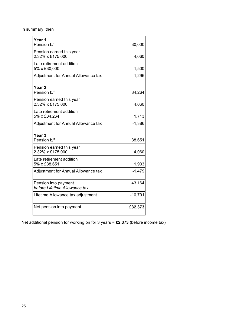In summary, then

| Year 1<br>Pension b/f                                 | 30,000    |
|-------------------------------------------------------|-----------|
| Pension earned this year<br>2.32% x £175,000          | 4,060     |
| Late retirement addition<br>5% x £30,000              | 1,500     |
| Adjustment for Annual Allowance tax                   | $-1,296$  |
| Year 2<br>Pension b/f                                 | 34,264    |
| Pension earned this year<br>2.32% x £175,000          | 4,060     |
| Late retirement addition<br>5% x £34,264              | 1,713     |
| Adjustment for Annual Allowance tax                   | $-1,386$  |
| Year <sub>3</sub><br>Pension b/f                      | 38,651    |
| Pension earned this year<br>2.32% x £175,000          | 4,060     |
| Late retirement addition<br>5% x £38,651              | 1,933     |
| Adjustment for Annual Allowance tax                   | $-1,479$  |
| Pension into payment<br>before Lifetime Allowance tax | 43,164    |
| Lifetime Allowance tax adjustment                     | $-10,791$ |
| Net pension into payment                              | £32,373   |

Net additional pension for working on for 3 years = **£2,373** (before income tax)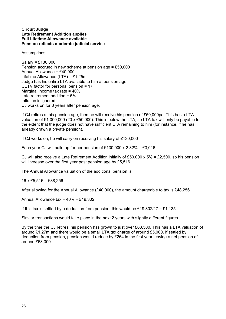#### **Circuit Judge Late Retirement Addition applies Full Lifetime Allowance available Pension reflects moderate judicial service**

Assumptions:

Salary = £130,000 Pension accrued in new scheme at pension age = £50,000 Annual Allowance = £40,000 Lifetime Allowance (LTA) = £1.25m. Judge has his entire LTA available to him at pension age CETV factor for personal pension = 17 Marginal income tax rate = 40% Late retirement addition = 5% Inflation is ignored CJ works on for 3 years after pension age.

If CJ retires at his pension age, then he will receive his pension of £50,000pa. This has a LTA valuation of £1,000,000 (20 x £50,000). This is below the LTA, so LTA tax will only be payable to the extent that the judge does not have sufficient LTA remaining to him (for instance, if he has already drawn a private pension).

If CJ works on, he will carry on receiving his salary of £130,000

Each year CJ will build up further pension of £130,000 x  $2.32\% = \text{\pounds}3,016$ 

CJ will also receive a Late Retirement Addition initially of £50,000 x 5% = £2,500, so his pension will increase over the first year post pension age by £5,516

The Annual Allowance valuation of the additional pension is:

 $16 \times$  £5.516 = £88.256

After allowing for the Annual Allowance (£40,000), the amount chargeable to tax is £48,256

Annual Allowance  $tax = 40\% = £19,302$ 

If this tax is settled by a deduction from pension, this would be £19,302/17 = £1,135

Similar transactions would take place in the next 2 years with slightly different figures.

By the time the CJ retires, his pension has grown to just over £63,500. This has a LTA valuation of around £1.27m and there would be a small LTA tax charge of around £5,000. If settled by deduction from pension, pension would reduce by £264 in the first year leaving a net pension of around £63,300.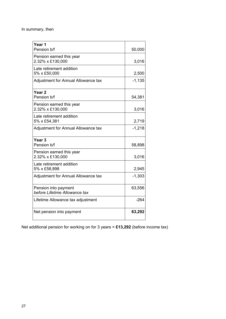In summary, then

| Year 1                              |          |
|-------------------------------------|----------|
| Pension b/f                         | 50,000   |
| Pension earned this year            |          |
| 2.32% x £130,000                    | 3,016    |
| Late retirement addition            |          |
| 5% x £50,000                        | 2,500    |
| Adjustment for Annual Allowance tax | $-1,135$ |
| Year <sub>2</sub>                   |          |
| Pension b/f                         | 54,381   |
| Pension earned this year            |          |
| 2.32% x £130,000                    | 3,016    |
| Late retirement addition            |          |
| 5% x £54,381                        | 2,719    |
| Adjustment for Annual Allowance tax | $-1,218$ |
| Year <sub>3</sub>                   |          |
| Pension b/f                         | 58,898   |
| Pension earned this year            |          |
| 2.32% x £130,000                    | 3,016    |
| Late retirement addition            |          |
| 5% x £58,898                        | 2,945    |
| Adjustment for Annual Allowance tax | $-1,303$ |
| Pension into payment                | 63,556   |
| before Lifetime Allowance tax       |          |
| Lifetime Allowance tax adjustment   | $-264$   |
| Net pension into payment            | 63,292   |

Net additional pension for working on for 3 years = **£13,292** (before income tax)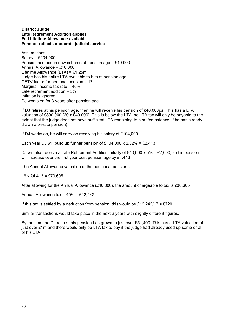#### **District Judge Late Retirement Addition applies Full Lifetime Allowance available Pension reflects moderate judicial service**

Assumptions: Salary = £104,000 Pension accrued in new scheme at pension age = £40,000 Annual Allowance = £40,000 Lifetime Allowance (LTA) = £1.25m. Judge has his entire LTA available to him at pension age CETV factor for personal pension = 17 Marginal income tax rate = 40% Late retirement addition = 5% Inflation is ignored DJ works on for 3 years after pension age.

If DJ retires at his pension age, then he will receive his pension of £40,000pa. This has a LTA valuation of £800,000 (20 x £40,000). This is below the LTA, so LTA tax will only be payable to the extent that the judge does not have sufficient LTA remaining to him (for instance, if he has already drawn a private pension).

If DJ works on, he will carry on receiving his salary of £104,000

Each year DJ will build up further pension of £104,000 x 2.32% = £2,413

DJ will also receive a Late Retirement Addition initially of £40,000 x  $5\%$  = £2,000, so his pension will increase over the first year post pension age by £4.413

The Annual Allowance valuation of the additional pension is:

 $16 \times \text{\pounds}4,413 = \text{\pounds}70,605$ 

After allowing for the Annual Allowance (£40,000), the amount chargeable to tax is £30,605

Annual Allowance tax = 40% = £12,242

If this tax is settled by a deduction from pension, this would be £12,242/17 = £720

Similar transactions would take place in the next 2 years with slightly different figures.

By the time the DJ retires, his pension has grown to just over £51,400. This has a LTA valuation of just over £1m and there would only be LTA tax to pay if the judge had already used up some or all of his LTA.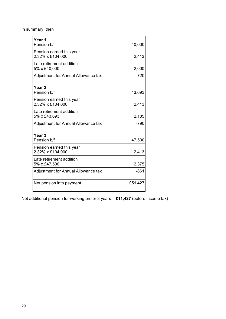In summary, then

| Year 1<br>Pension b/f                        | 40,000  |
|----------------------------------------------|---------|
| Pension earned this year<br>2.32% x £104,000 | 2,413   |
| Late retirement addition<br>5% x £40,000     | 2,000   |
| Adjustment for Annual Allowance tax          | $-720$  |
| Year <sub>2</sub><br>Pension b/f             | 43,693  |
| Pension earned this year<br>2.32% x £104,000 | 2,413   |
| Late retirement addition<br>5% x £43,693     | 2,185   |
| Adjustment for Annual Allowance tax          | $-790$  |
| Year <sub>3</sub><br>Pension b/f             | 47,500  |
| Pension earned this year<br>2.32% x £104,000 | 2,413   |
| Late retirement addition<br>5% x £47,500     | 2,375   |
| Adjustment for Annual Allowance tax          | $-861$  |
| Net pension into payment                     | £51,427 |

Net additional pension for working on for 3 years = **£11,427** (before income tax)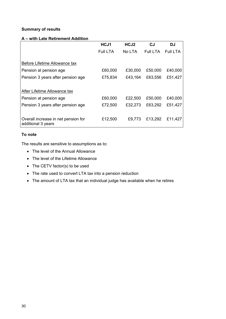## **Summary of results**

## **A – with Late Retirement Addition**

|                                                           | HCJ1     | HCJ <sub>2</sub> | CJ              | DJ              |
|-----------------------------------------------------------|----------|------------------|-----------------|-----------------|
|                                                           | Full LTA | No LTA           | <b>Full LTA</b> | <b>Full LTA</b> |
| Before Lifetime Allowance tax                             |          |                  |                 |                 |
| Pension at pension age                                    | £60,000  | £30,000          | £50,000         | £40,000         |
| Pension 3 years after pension age                         | £75,834  | £43,164          | £63,556         | £51,427         |
|                                                           |          |                  |                 |                 |
| After Lifetime Allowance tax                              |          |                  |                 |                 |
| Pension at pension age                                    | £60,000  | £22,500          | £50,000         | £40,000         |
| Pension 3 years after pension age                         | £72,500  | £32,273          | £63,292         | £51,427         |
|                                                           |          |                  |                 |                 |
| Overall increase in net pension for<br>additional 3 years | £12,500  | £9,773           | £13,292         | £11.427         |

## **To note**

The results are sensitive to assumptions as to:

- The level of the Annual Allowance
- The level of the Lifetime Allowance
- The CETV factor(s) to be used
- The rate used to convert LTA tax into a pension reduction
- The amount of LTA tax that an individual judge has available when he retires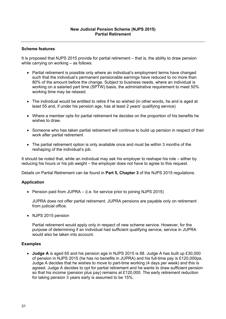It is proposed that NJPS 2015 provide for partial retirement – that is, the ability to draw pension while carrying on working – as follows:

- Partial retirement is possible only where an individual's employment terms have changed such that the individual's permanent pensionable earnings have reduced to no more than 80% of the amount before the change. Subject to business needs, where an individual is working on a salaried part time (SPTW) basis, the administrative requirement to meet 50% working time may be relaxed.
- The individual would be entitled to retire if he so wished (in other words, he and is aged at least 55 and, if under his pension age, has at least 2 years' qualifying service)
- Where a member opts for partial retirement he decides on the proportion of his benefits he wishes to draw.
- Someone who has taken partial retirement will continue to build up pension in respect of their work after partial retirement
- The partial retirement option is only available once and must be within 3 months of the reshaping of the individual's job.

It should be noted that, while an individual may ask his employer to reshape his role – either by reducing his hours or his job weight – the employer does not have to agree to this request.

Details on Partial Retirement can be found in **Part 5, Chapter 3** of the NJPS 2015 regulations.

## **Application**

• Pension paid from JUPRA – (i.e. for service prior to joining NJPS 2015)

JUPRA does not offer partial retirement. JUPRA pensions are payable only on retirement from judicial office.

• NJPS 2015 pension

Partial retirement would apply only in respect of new scheme service. However, for the purpose of determining if an individual had sufficient qualifying service, service in JUPRA would also be taken into account.

#### **Examples**

 **Judge A** is aged 65 and his pension age in NJPS 2015 is 68. Judge A has built up £30,000 of pension in NJPS 2015 (he has no benefits in JUPRA) and his full-time pay is £120,000pa. Judge A decides that he wishes to move to part-time working (4 days per week) and this is agreed. Judge A decides to opt for partial retirement and he wants to draw sufficient pension so that his income (pension plus pay) remains at £120,000. The early retirement reduction for taking pension 3 years early is assumed to be 15%.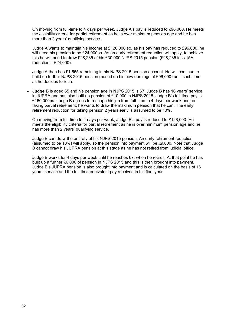On moving from full-time to 4 days per week, Judge A's pay is reduced to £96,000. He meets the eligibility criteria for partial retirement as he is over minimum pension age and he has more than 2 years' qualifying service.

Judge A wants to maintain his income at £120,000 so, as his pay has reduced to £96,000, he will need his pension to be £24,000pa. As an early retirement reduction will apply, to achieve this he will need to draw £28,235 of his £30,000 NJPS 2015 pension (£28,235 less 15% reduction =  $£24,000$ ).

Judge A then has £1,665 remaining in his NJPS 2015 pension account. He will continue to build up further NJPS 2015 pension (based on his new earnings of £96,000) until such time as he decides to retire.

 **Judge B** is aged 65 and his pension age in NJPS 2015 is 67. Judge B has 16 years' service in JUPRA and has also built up pension of £10,000 in NJPS 2015. Judge B's full-time pay is £160,000pa. Judge B agrees to reshape his job from full-time to 4 days per week and, on taking partial retirement, he wants to draw the maximum pension that he can. The early retirement reduction for taking pension 2 years early is assumed to be 10%.

On moving from full-time to 4 days per week, Judge B's pay is reduced to £128,000. He meets the eligibility criteria for partial retirement as he is over minimum pension age and he has more than 2 years' qualifying service.

Judge B can draw the entirety of his NJPS 2015 pension. An early retirement reduction (assumed to be 10%) will apply, so the pension into payment will be £9,000. Note that Judge B cannot draw his JUPRA pension at this stage as he has not retired from judicial office.

Judge B works for 4 days per week until he reaches 67, when he retires. At that point he has built up a further £6,000 of pension in NJPS 2015 and this is then brought into payment. Judge B's JUPRA pension is also brought into payment and is calculated on the basis of 16 years' service and the full-time equivalent pay received in his final year.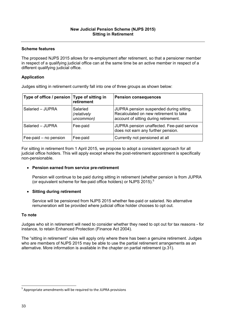The proposed NJPS 2015 allows for re-employment after retirement, so that a pensioner member in respect of a qualifying judicial office can at the same time be an active member in respect of a different qualifying judicial office.

## **Application**

Judges sitting in retirement currently fall into one of three groups as shown below:

| Type of office / pension Type of sitting in | retirement                           | <b>Pension consequences</b>                                                                                                |
|---------------------------------------------|--------------------------------------|----------------------------------------------------------------------------------------------------------------------------|
| Salaried - JUPRA                            | Salaried<br>(relatively<br>uncommon) | JUPRA pension suspended during sitting.<br>Recalculated on new retirement to take<br>account of sitting during retirement. |
| Salaried - JUPRA                            | Fee-paid                             | JUPRA pension unaffected. Fee-paid service<br>does not earn any further pension.                                           |
| Fee-paid – no pension                       | Fee-paid                             | Currently not pensioned at all                                                                                             |

For sitting in retirement from 1 April 2015, we propose to adopt a consistent approach for all judicial office holders. This will apply except where the post-retirement appointment is specifically non-pensionable.

## **Pension earned from service pre-retirement**

Pension will continue to be paid during sitting in retirement (whether pension is from JUPRA (or equivalent scheme for fee-paid office holders) or NJPS 2015).<sup>5</sup>

## **Sitting during retirement**

Service will be pensioned from NJPS 2015 whether fee-paid or salaried. No alternative remuneration will be provided where judicial office holder chooses to opt out.

## **To note**

Judges who sit in retirement will need to consider whether they need to opt out for tax reasons - for instance, to retain Enhanced Protection (Finance Act 2004).

The "sitting in retirement" rules will apply only where there has been a genuine retirement. Judges who are members of NJPS 2015 may be able to use the partial retirement arrangements as an alternative. More information is available in the chapter on partial retirement (p.31).

<sup>5</sup> Appropriate amendments will be required to the JUPRA provisions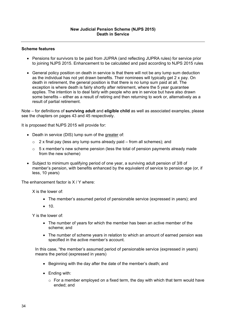- Pensions for survivors to be paid from JUPRA (and reflecting JUPRA rules) for service prior to joining NJPS 2015. Enhancement to be calculated and paid according to NJPS 2015 rules
- General policy position on death in service is that there will not be any lump sum deduction as the individual has not yet drawn benefits. Their nominees will typically get 2 x pay. On death in retirement, the general position is that there is no lump sum paid at all. The exception is where death is fairly shortly after retirement, where the 5 year guarantee applies. The intention is to deal fairly with people who are in service but have also drawn some benefits – either as a result of retiring and then returning to work or, alternatively as a result of partial retirement.

Note – for definitions of **surviving adult** and **eligible child** as well as associated examples, please see the chapters on pages 43 and 45 respectively.

It is proposed that NJPS 2015 will provide for:

- Death in service (DIS) lump sum of the greater of:
	- $\circ$  2 x final pay (less any lump sums already paid from all schemes); and
	- $\circ$  5 x member's new scheme pension (less the total of pension payments already made from the new scheme)
- Subject to minimum qualifying period of one year, a surviving adult pension of 3/8 of member's pension, with benefits enhanced by the equivalent of service to pension age (or, if less, 10 years)

The enhancement factor is X / Y where:

X is the lower of:

- The member's assumed period of pensionable service (expressed in years); and
- $10.$

Y is the lower of:

- The number of years for which the member has been an active member of the scheme; and
- The number of scheme years in relation to which an amount of earned pension was specified in the active member's account.

In this case, "the member's assumed period of pensionable service (expressed in years) means the period (expressed in years)

- Beginning with the day after the date of the member's death; and
- Ending with:
	- $\circ$  For a member employed on a fixed term, the day with which that term would have ended; and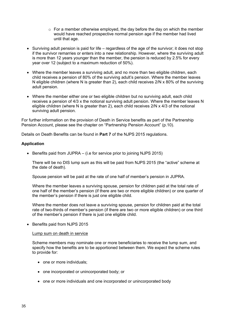- $\circ$  For a member otherwise employed, the day before the day on which the member would have reached prospective normal pension age if the member had lived until that age.
- $\bullet$  Surviving adult pension is paid for life regardless of the age of the survivor; it does not stop if the survivor remarries or enters into a new relationship. However, where the surviving adult is more than 12 years younger than the member, the pension is reduced by 2.5% for every year over 12 (subject to a maximum reduction of 50%).
- Where the member leaves a surviving adult, and no more than two eligible children, each child receives a pension of 80% of the surviving adult's pension. Where the member leaves N eligible children (where N is greater than 2), each child receives 2/N x 80% of the surviving adult pension.
- Where the member either one or two eligible children but no surviving adult, each child receives a pension of 4/3 x the notional surviving adult pension. Where the member leaves N eligible children (where N is greater than 2), each child receives 2/N x 4/3 of the notional surviving adult pension.

For further information on the provision of Death in Service benefits as part of the Partnership Pension Account, please see the chapter on "Partnership Pension Account" (p.10).

Details on Death Benefits can be found in **Part 7** of the NJPS 2015 regulations.

## **Application**

 $\bullet$  Benefits paid from JUPRA – (i.e for service prior to joining NJPS 2015)

There will be no DIS lump sum as this will be paid from NJPS 2015 (the "active" scheme at the date of death).

Spouse pension will be paid at the rate of one half of member's pension in JUPRA.

Where the member leaves a surviving spouse, pension for children paid at the total rate of one half of the member's pension (if there are two or more eligible children) or one quarter of the member's pension if there is just one eligible child.

Where the member does not leave a surviving spouse, pension for children paid at the total rate of two-thirds of member's pension (if there are two or more eligible children) or one third of the member's pension if there is just one eligible child.

• Benefits paid from NJPS 2015

#### Lump sum on death in service

Scheme members may nominate one or more beneficiaries to receive the lump sum, and specify how the benefits are to be apportioned between them. We expect the scheme rules to provide for:

- one or more individuals;
- one incorporated or unincorporated body; or
- one or more individuals and one incorporated or unincorporated body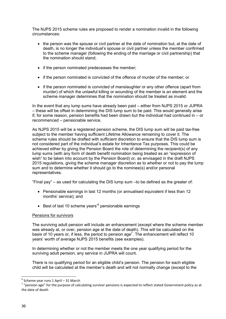The NJPS 2015 scheme rules are proposed to render a nomination invalid in the following circumstances:

- the person was the spouse or civil partner at the date of nomination but, at the date of death, is no longer the individual's spouse or civil partner unless the member confirmed to the scheme manager (following the ending of the marriage or civil partnership) that the nomination should stand;
- if the person nominated predeceases the member;
- if the person nominated is convicted of the offence of murder of the member; or
- if the person nominated is convicted of manslaughter or any other offence (apart from murder) of which the unlawful killing or wounding of the member is an element and the scheme manager determines that the nomination should be treated as invalid.

In the event that any lump sums have already been paid – either from NJPS 2015 or JUPRA – these will be offset in determining the DIS lump sum to be paid. This would generally arise if, for some reason, pension benefits had been drawn but the individual had continued in – or recommenced – pensionable service.

As NJPS 2015 will be a registered pension scheme, the DIS lump sum will be paid tax-free subject to the member having sufficient Lifetime Allowance remaining to cover it. The scheme rules should be drafted with sufficient discretion to ensure that the DIS lump sum is not considered part of the individual's estate for Inheritance Tax purposes. This could be achieved either by giving the Pension Board the role of determining the recipient(s) of any lump sums (with any form of death benefit nomination being treated as an "expression of wish" to be taken into account by the Pension Board) or, as envisaged in the draft NJPS 2015 regulations, giving the scheme manager discretion as to whether or not to pay the lump sum and to determine whether it should go to the nominee(s) and/or personal representatives.

"Final pay" – as used for calculating the DIS lump sum –to be defined as the greater of:

- Pensionable earnings in last 12 months (or annualised equivalent if less than 12 months' service); and
- $\bullet$  Best of last 10 scheme years<sup> $6$ </sup> pensionable earnings

## Pensions for survivors

The surviving adult pension will include an enhancement (except where the scheme member was already at, or over, pension age at the date of death). This will be calculated on the basis of 10 years or, if less, the period to pension age<sup>7</sup>. The enhancement will reflect 10 years' worth of average NJPS 2015 benefits (see examples).

In determining whether or not the member meets the one year qualifying period for the surviving adult pension, any service in JUPRA will count.

There is no qualifying period for an eligible child's pension. The pension for each eligible child will be calculated at the member's death and will not normally change (except to the

 $6$  Scheme year runs 1 April – 31 March

 $\frac{7}{1}$  "pension age" for the purpose of calculating survivor pensions is expected to reflect stated Government policy as at the date of death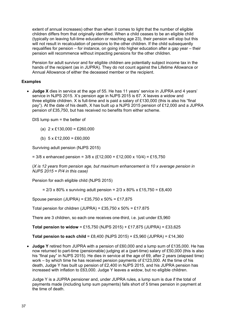extent of annual increases) other than when it comes to light that the number of eligible children differs from that originally identified. When a child ceases to be an eligible child (typically on leaving full-time education or reaching age 23), their pension will stop but this will not result in recalculation of pensions to the other children. If the child subsequently requalifies for pension – for instance, on going into higher education after a gap year – their pension will recommence without impacting pensions for the other children.

Pension for adult survivor and for eligible children are potentially subject income tax in the hands of the recipient (as in JUPRA). They do not count against the Lifetime Allowance or Annual Allowance of either the deceased member or the recipient.

## **Examples**

 **Judge X** dies in service at the age of 55. He has 11 years' service in JUPRA and 4 years' service in NJPS 2015. X's pension age in NJPS 2015 is 67. X leaves a widow and three eligible children. X is full-time and is paid a salary of £130,000 (this is also his "final pay"). At the date of his death, X has built up a NJPS 2015 pension of £12,000 and a JUPRA pension of £35,750, but has received no benefits from either scheme.

DIS lump sum = the better of

(a)  $2 \times \text{\pounds}130,000 = \text{\pounds}260,000$ 

(b)  $5 \times \text{\pounds}12,000 = \text{\pounds}60,000$ 

Surviving adult pension (NJPS 2015)

 $= 3/8$  x enhanced pension =  $3/8$  x (£12,000 + £12,000 x 10/4) = £15,750

(*X is 12 years from pension age, but maximum enhancement is 10 x average pension in NJPS 2015 = P/4 in this case)*

Pension for each eligible child (NJPS 2015)

 $= 2/3 \times 80\% \times$  surviving adult pension =  $2/3 \times 80\% \times £15,750 = £8,400$ 

Spouse pension (JUPRA) = £35,750 x  $50\%$  = £17,875

Total pension for children (JUPRA) = £35,750 x  $50\%$  = £17.875

There are 3 children, so each one receives one-third, i.e. just under £5,960

**Total pension to widow** = £15,750 (NJPS 2015) + £17,875 (JUPRA) = £33,625

**Total pension to each child** = £8,400 (NJPS 2015) + £5,960 (JUPRA) = £14,360

 **Judge Y** retired from JUPRA with a pension of £60,000 and a lump sum of £135,000. He has now returned to part-time (pensionable) judging at a (part-time) salary of £50,000 (this is also his "final pay" in NJPS 2015). He dies in service at the age of 69, after 2 years (elapsed time) work – by which time he has received pension payments of £123,000. At the time of his death, Judge Y has built up pension of £2,400 in NJPS 2015, and his JUPRA pension has increased with inflation to £63,000. Judge Y leaves a widow, but no eligible children.

Judge Y is a JUPRA pensioner and, under JUPRA rules, a lump sum is due if the total of payments made (including lump sum payments) falls short of 5 times pension in payment at the time of death.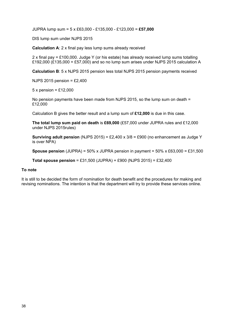JUPRA lump sum = 5 x £63,000 - £135,000 - £123,000 = **£57,000**

DIS lump sum under NJPS 2015

**Calculation A**: 2 x final pay less lump sums already received

2 x final pay =  $£100,000$ . Judge Y (or his estate) has already received lump sums totalling £192,000 (£135,000 + £57,000) and so no lump sum arises under NJPS 2015 calculation A

**Calculation B**: 5 x NJPS 2015 pension less total NJPS 2015 pension payments received

NJPS 2015 pension = £2,400

 $5 \times$  pension = £12,000

No pension payments have been made from NJPS 2015, so the lump sum on death = £12,000

Calculation B gives the better result and a lump sum of **£12,000** is due in this case.

**The total lump sum paid on death** is **£69,000** (£57,000 under JUPRA rules and £12,000 under NJPS 2015rules)

**Surviving adult pension** (NJPS 2015) = £2,400 x 3/8 = £900 (no enhancement as Judge Y is over NPA)

**Spouse pension** (JUPRA) = 50% x JUPRA pension in payment = 50% x £63,000 = £31,500

**Total spouse pension** = £31,500 (JUPRA) + £900 (NJPS 2015) = £32,400

#### **To note**

It is still to be decided the form of nomination for death benefit and the procedures for making and revising nominations. The intention is that the department will try to provide these services online.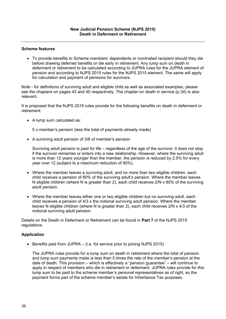To provide benefits to Scheme members' dependents or nominated recipient should they die before drawing deferred benefits or die early in retirement. Any lump sum on death in deferment or retirement to be calculated according to JUPRA rules for the JUPRA element of pension and according to NJPS 2015 rules for the NJPS 2015 element. The same will apply for calculation and payment of pensions for survivors.

Note - for definitions of surviving adult and eligible child as well as associated examples, please see the chapters on pages 43 and 45 respectively. The chapter on death in service (p.34) is also relevant.

It is proposed that the NJPS 2015 rules provide for the following benefits on death in deferment or retirement:

• A lump sum calculated as:

5 x member's pension (less the total of payments already made)

A surviving adult pension of 3/8 of member's pension

Surviving adult pension is paid for life – regardless of the age of the survivor; it does not stop if the survivor remarries or enters into a new relationship. However, where the surviving adult is more than 12 years younger than the member, the pension is reduced by 2.5% for every year over 12 (subject to a maximum reduction of 50%).

- Where the member leaves a surviving adult, and no more than two eligible children, each child receives a pension of 80% of the surviving adult's pension. Where the member leaves N eligible children (where N is greater than 2), each child receives 2/N x 80% of the surviving adult pension.
- Where the member leaves either one or two eligible children but no surviving adult, each child receives a pension of 4/3 x the notional surviving adult pension. Where the member leaves N eligible children (where N is greater than 2), each child receives 2/N x 4/3 of the notional surviving adult pension.

Details on the Death in Deferment or Retirement can be found in **Part 7** of the NJPS 2015 regulations.

## **Application**

 $\bullet$  Benefits paid from JUPRA – (i.e. for service prior to joining NJPS 2015)

The JUPRA rules provide for a lump sum on death in retirement where the total of pension and lump sum payments made is less than 5 times the rate of the member's pension at the date of death. This provision – which is effectively a "pension guarantee" – will continue to apply in respect of members who die in retirement or deferment. JUPRA rules provide for this lump sum to be paid to the scheme member's personal representatives as of right, so the payment forms part of the scheme member's estate for Inheritance Tax purposes.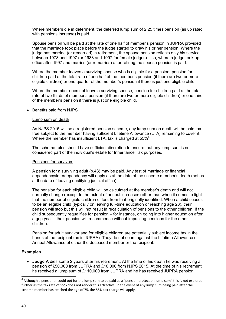Where members die in deferment, the deferred lump sum of 2.25 times pension (as up rated with pensions increase) is paid.

Spouse pension will be paid at the rate of one half of member's pension in JUPRA provided that the marriage took place before the judge started to draw his or her pension. Where the judge has married (or remarried) in retirement, the spouse pension reflects only his service between 1978 and 1997 (or 1988 and 1997 for female judges) – so, where a judge took up office after 1997 and marries (or remarries) after retiring, no spouse pension is paid.

Where the member leaves a surviving spouse who is eligible for a pension, pension for children paid at the total rate of one half of the member's pension (if there are two or more eligible children) or one quarter of the member's pension if there is just one eligible child.

Where the member does not leave a surviving spouse, pension for children paid at the total rate of two-thirds of member's pension (if there are two or more eligible children) or one third of the member's pension if there is just one eligible child.

#### • Benefits paid from NJPS

#### Lump sum on death

As NJPS 2015 will be a registered pension scheme, any lump sum on death will be paid taxfree subject to the member having sufficient Lifetime Allowance (LTA) remaining to cover it. Where the member has insufficient LTA, tax is charged at  $55\%$ <sup>8</sup>.

The scheme rules should have sufficient discretion to ensure that any lump sum is not considered part of the individual's estate for Inheritance Tax purposes.

#### Pensions for survivors

A pension for a surviving adult (p.43) may be paid. Any test of marriage or financial dependency/interdependency will apply as at the date of the scheme member's death (not as at the date of leaving qualifying judicial office).

The pension for each eligible child will be calculated at the member's death and will not normally change (except to the extent of annual increases) other than when it comes to light that the number of eligible children differs from that originally identified. When a child ceases to be an eligible child (typically on leaving full-time education or reaching age 23), their pension will stop but this will not result in recalculation of pensions to the other children. If the child subsequently requalifies for pension – for instance, on going into higher education after a gap year – their pension will recommence without impacting pensions for the other children.

Pension for adult survivor and for eligible children are potentially subject income tax in the hands of the recipient (as in JUPRA). They do not count against the Lifetime Allowance or Annual Allowance of either the deceased member or the recipient.

## **Examples**

 **Judge A** dies some 2 years after his retirement. At the time of his death he was receiving a pension of £50,000 from JUPRA and £10,000 from NJPS 2015. At the time of his retirement he received a lump sum of £110,000 from JUPRA and he has received JUPRA pension

<sup>&</sup>lt;sup>8</sup> Although a pensioner could opt for the lump sum to be paid as a "pension protection lump sum" this is not explored further as the tax rate of 55% does not render this attractive. In the event of any lump sum being paid after the scheme member has reached the age of 75, the 55% tax charge will apply.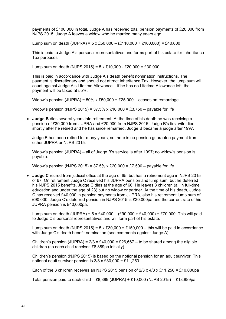payments of £100,000 in total. Judge A has received total pension payments of £20,000 from NJPS 2015. Judge A leaves a widow who he married many years ago.

Lump sum on death (JUPRA) =  $5 \times £50,000 - (£110,000 + £100,000) = £40,000$ 

This is paid to Judge A's personal representatives and forms part of his estate for Inheritance Tax purposes.

Lump sum on death (NJPS 2015) =  $5 \times £10,000 - £20,000 = £30,000$ 

This is paid in accordance with Judge A's death benefit nomination instructions. The payment is discretionary and should not attract Inheritance Tax. However, the lump sum will count against Judge A's Lifetime Allowance – if he has no Lifetime Allowance left, the payment will be taxed at 55%.

Widow's pension (JUPRA) =  $50\%$  x £50,000 = £25,000 – ceases on remarriage

Widow's pension (NJPS 2015) =  $37.5\%$  x £10,000 = £3,750 – payable for life

 **Judge B** dies several years into retirement. At the time of his death he was receiving a pension of £30,000 from JUPRA and £20,000 from NJPS 2015. Judge B's first wife died shortly after he retired and he has since remarried. Judge B became a judge after 1997.

Judge B has been retired for many years, so there is no pension guarantee payment from either JUPRA or NJPS 2015.

Widow's pension (JUPRA) – all of Judge B's service is after 1997; no widow's pension is payable.

Widow's pension (NJPS 2015) =  $37.5\% \times £20,000 = £7,500$  – payable for life

 **Judge C** retired from judicial office at the age of 65, but has a retirement age in NJPS 2015 of 67. On retirement Judge C received his JUPRA pension and lump sum, but he deferred his NJPS 2015 benefits. Judge C dies at the age of 66. He leaves 3 children (all in full-time education and under the age of 23) but no widow or partner. At the time of his death, Judge C has received £40,000 in pension payments from JUPRA, also his retirement lump sum of £90,000. Judge C's deferred pension in NJPS 2015 is £30,000pa and the current rate of his JUPRA pension is £40,000pa.

Lump sum on death (JUPRA) =  $5 \times £40,000 - (£90,000 + £40,000) = £70,000$ . This will paid to Judge C's personal representatives and will form part of his estate.

Lump sum on death (NJPS 2015) =  $5 \times £30,000 = £150,000 -$  this will be paid in accordance with Judge C's death benefit nomination (see comments against Judge A).

Children's pension (JUPRA) =  $2/3$  x £40,000 = £26,667 – to be shared among the eligible children (so each child receives £8,889pa initially)

Children's pension (NJPS 2015) is based on the notional pension for an adult survivor. This notional adult survivor pension is 3/8 x £30,000 = £11,250.

Each of the 3 children receives an NJPS 2015 pension of  $2/3 \times 4/3 \times 211$ ,  $250 = £10$ , 000pa

Total pension paid to each child = £8,889 (JUPRA) + £10,000 (NJPS 2015) = £18,889pa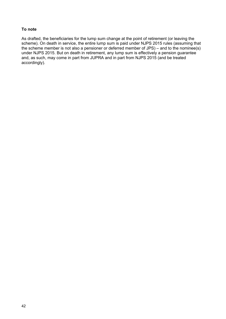## **To note**

As drafted, the beneficiaries for the lump sum change at the point of retirement (or leaving the scheme). On death in service, the entire lump sum is paid under NJPS 2015 rules (assuming that the scheme member is not also a pensioner or deferred member of JPS) – and to the nominee(s) under NJPS 2015. But on death in retirement, any lump sum is effectively a pension guarantee and, as such, may come in part from JUPRA and in part from NJPS 2015 (and be treated accordingly).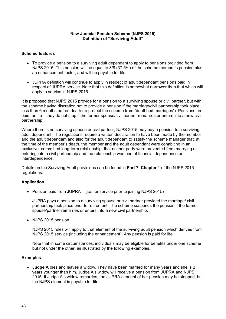- To provide a pension to a surviving adult dependant to apply to pensions provided from NJPS 2015. This pension will be equal to 3/8 (37.5%) of the scheme member's pension plus an enhancement factor, and will be payable for life.
- JUPRA definition will continue to apply in respect of adult dependant pensions paid in respect of JUPRA service. Note that this definition is somewhat narrower than that which will apply to service in NJPS 2015.

It is proposed that NJPS 2015 provide for a pension to a surviving spouse or civil partner, but with the scheme having discretion not to provide a pension if the marriage/civil partnership took place less than 6 months before death (to protect the scheme from "deathbed marriages"). Pensions are paid for life – they do not stop if the former spouse/civil partner remarries or enters into a new civil partnership.

Where there is no surviving spouse or civil partner, NJPS 2015 may pay a pension to a surviving adult dependant. The regulations require a written declaration to have been made by the member and the adult dependant and also for the adult dependant to satisfy the scheme manager that, at the time of the member's death, the member and the adult dependant were cohabiting in an exclusive, committed long-term relationship, that neither party were prevented from marrying or entering into a civil partnership and the relationship was one of financial dependence or interdependence.

Details on the Surviving Adult provisions can be found in **Part 7, Chapter 1** of the NJPS 2015 regulations.

## **Application**

• Pension paid from JUPRA – (i.e. for service prior to joining NJPS 2015)

JUPRA pays a pension to a surviving spouse or civil partner provided the marriage/ civil partnership took place prior to retirement. The scheme suspends the pension if the former spouse/partner remarries or enters into a new civil partnership.

• NJPS 2015 pension

NJPS 2015 rules will apply to that element of the surviving adult pension which derives from NJPS 2015 service (including the enhancement). Any pension is paid for life.

Note that in some circumstances, individuals may be eligible for benefits under one scheme but not under the other, as illustrated by the following examples.

## **Examples**

 **Judge A** dies and leaves a widow. They have been married for many years and she is 2 years younger than him. Judge A's widow will receive a pension from JUPRA and NJPS 2015. If Judge A's widow remarries, the JUPRA element of her pension may be stopped, but the NJPS element is payable for life.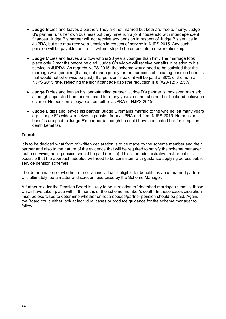- **Judge B** dies and leaves a partner. They are not married but both are free to marry. Judge B's partner runs her own business but they have run a joint household with interdependent finances. Judge B's partner will not receive any pension in respect of Judge B's service in JUPRA, but she may receive a pension in respect of service in NJPS 2015. Any such pension will be payable for life – it will not stop if she enters into a new relationship.
- **Judge C** dies and leaves a widow who is 20 years younger than him. The marriage took place only 2 months before he died. Judge C's widow will receive benefits in relation to his service in JUPRA. As regards NJPS 2015, the scheme would need to be satisfied that the marriage was genuine (that is, not made purely for the purposes of securing pension benefits that would not otherwise be paid). If a pension is paid, it will be paid at 80% of the normal NJPS 2015 rate, reflecting the significant age gap (the reduction is  $8$  (=20-12) x 2.5%)
- **Judge D** dies and leaves his long-standing partner. Judge D's partner is, however, married; although separated from her husband for many years, neither she nor her husband believe in divorce. No pension is payable from either JUPRA or NJPS 2015.
- **Judge E** dies and leaves his partner. Judge E remains married to the wife he left many years ago. Judge E's widow receives a pension from JUPRA and from NJPS 2015. No pension benefits are paid to Judge E's partner (although he could have nominated her for lump sum death benefits).

## **To note**

It is to be decided what form of written declaration is to be made by the scheme member and their partner and also to the nature of the evidence that will be required to satisfy the scheme manager that a surviving adult pension should be paid (for life). This is an administrative matter but it is possible that the approach adopted will need to be consistent with guidance applying across public service pension schemes.

The determination of whether, or not, an individual is eligible for benefits as an unmarried partner will, ultimately, be a matter of discretion, exercised by the Scheme Manager.

A further role for the Pension Board is likely to be in relation to "deathbed marriages"; that is, those which have taken place within 6 months of the scheme member's death. In these cases discretion must be exercised to determine whether or not a spouse/partner pension should be paid. Again, the Board could either look at individual cases or produce guidance for the scheme manager to follow.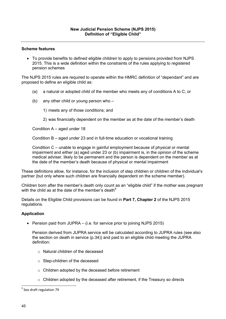To provide benefits to defined eligible children to apply to pensions provided from NJPS 2015. This is a wide definition within the constraints of the rules applying to registered pension schemes

The NJPS 2015 rules are required to operate within the HMRC definition of "dependant" and are proposed to define an eligible child as:

- (a) a natural or adopted child of the member who meets any of conditions A to C; or
- (b) any other child or young person who
	- 1) meets any of those conditions; and
	- 2) was financially dependent on the member as at the date of the member's death

Condition A – aged under 18

Condition B – aged under 23 and in full-time education or vocational training

Condition C – unable to engage in gainful employment because of physical or mental impairment and either (a) aged under 23 or (b) impairment is, in the opinion of the scheme medical adviser, likely to be permanent and the person is dependent on the member as at the date of the member's death because of physical or mental impairment

These definitions allow, for instance, for the inclusion of step children or children of the individual's partner (but only where such children are financially dependent on the scheme member).

Children born after the member's death only count as an "eligible child" if the mother was pregnant with the child as at the date of the member's death  $9$ 

Details on the Eligible Child provisions can be found in **Part 7, Chapter 2** of the NJPS 2015 regulations.

## **Application**

• Pension paid from JUPRA – (i.e. for service prior to joining NJPS 2015)

Pension derived from JUPRA service will be calculated according to JUPRA rules (see also the section on death in service (p.34)) and paid to an eligible child meeting the JUPRA definition:

- o Natural children of the deceased
- o Step-children of the deceased
- o Children adopted by the deceased before retirement
- $\circ$  Children adopted by the deceased after retirement, if the Treasury so directs

<sup>&</sup>lt;sup>9</sup> See draft regulation 79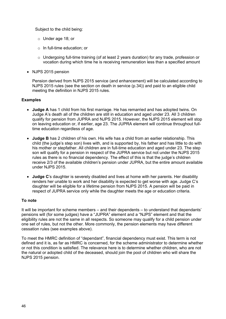Subject to the child being:

- o Under age 18; or
- o In full-time education; or
- $\circ$  Undergoing full-time training (of at least 2 years duration) for any trade, profession or vocation during which time he is receiving remuneration less than a specified amount
- NJPS 2015 pension

Pension derived from NJPS 2015 service (and enhancement) will be calculated according to NJPS 2015 rules (see the section on death in service (p.34)) and paid to an eligible child meeting the definition in NJPS 2015 rules.

## **Examples**

- **Judge A** has 1 child from his first marriage. He has remarried and has adopted twins. On Judge A's death all of the children are still in education and aged under 23. All 3 children qualify for pension from JUPRA and NJPS 2015. However, the NJPS 2015 element will stop on leaving education or, if earlier, age 23. The JUPRA element will continue throughout fulltime education regardless of age.
- **Judge B** has 2 children of his own. His wife has a child from an earlier relationship. This child (the judge's step son) lives with, and is supported by, his father and has little to do with his mother or stepfather. All children are in full-time education and aged under 23. The step son will qualify for a pension in respect of the JUPRA service but not under the NJPS 2015 rules as there is no financial dependency. The effect of this is that the judge's children receive 2/3 of the available children's pension under JUPRA, but the entire amount available under NJPS 2015.
- **Judge C**'s daughter is severely disabled and lives at home with her parents. Her disability renders her unable to work and her disability is expected to get worse with age. Judge C's daughter will be eligible for a lifetime pension from NJPS 2015. A pension will be paid in respect of JUPRA service only while the daughter meets the age or education criteria.

## **To note**

It will be important for scheme members – and their dependents – to understand that dependants' pensions will (for some judges) have a "JUPRA" element and a "NJPS" element and that the eligibility rules are not the same in all respects. So someone may qualify for a child pension under one set of rules, but not the other. More commonly, the pension elements may have different cessation rules (see examples above).

To meet the HMRC definition of "dependant", financial dependency must exist. This term is not defined and it is, as far as HMRC is concerned, for the scheme administrator to determine whether or not this condition is satisfied. The relevance here is to determine whether children, who are not the natural or adopted child of the deceased, should join the pool of children who will share the NJPS 2015 pension.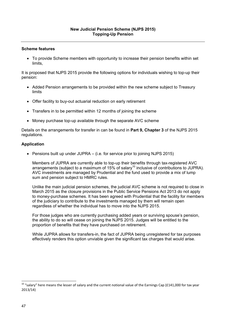To provide Scheme members with opportunity to increase their pension benefits within set limits,

It is proposed that NJPS 2015 provide the following options for individuals wishing to top-up their pension:

- Added Pension arrangements to be provided within the new scheme subject to Treasury limits
- Offer facility to buy-out actuarial reduction on early retirement
- Transfers in to be permitted within 12 months of joining the scheme
- Money purchase top-up available through the separate AVC scheme

Details on the arrangements for transfer in can be found in **Part 9, Chapter 3** of the NJPS 2015 regulations.

## **Application**

• Pensions built up under JUPRA – (i.e. for service prior to joining NJPS 2015)

Members of JUPRA are currently able to top-up their benefits through tax-registered AVC arrangements (subject to a maximum of 15% of salary<sup>10</sup> inclusive of contributions to JUPRA). AVC investments are managed by Prudential and the fund used to provide a mix of lump sum and pension subject to HMRC rules.

Unlike the main judicial pension schemes, the judicial AVC scheme is not required to close in March 2015 as the closure provisions in the Public Service Pensions Act 2013 do not apply to money-purchase schemes. It has been agreed with Prudential that the facility for members of the judiciary to contribute to the investments managed by them will remain open regardless of whether the individual has to move into the NJPS 2015.

For those judges who are currently purchasing added years or surviving spouse's pension, the ability to do so will cease on joining the NJPS 2015. Judges will be entitled to the proportion of benefits that they have purchased on retirement.

While JUPRA allows for transfers-in, the fact of JUPRA being unregistered for tax purposes effectively renders this option unviable given the significant tax charges that would arise.

<sup>&</sup>lt;sup>10</sup> "salary" here means the lesser of salary and the current notional value of the Earnings Cap (£141,000 for tax year 2013/14)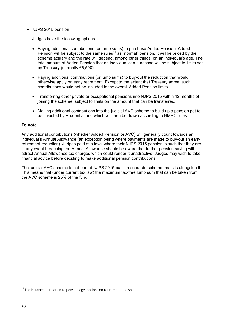• NJPS 2015 pension

Judges have the following options:

- Paying additional contributions (or lump sums) to purchase Added Pension. Added Pension will be subject to the same rules11 as "normal" pension. It will be priced by the scheme actuary and the rate will depend, among other things, on an individual's age. The total amount of Added Pension that an individual can purchase will be subject to limits set by Treasury (currently £6,500).
- Paying additional contributions (or lump sums) to buy-out the reduction that would otherwise apply on early retirement. Except to the extent that Treasury agree, such contributions would not be included in the overall Added Pension limits.
- Transferring other private or occupational pensions into NJPS 2015 within 12 months of joining the scheme, subject to limits on the amount that can be transferred**.**
- Making additional contributions into the judicial AVC scheme to build up a pension pot to be invested by Prudential and which will then be drawn according to HMRC rules.

## **To note**

Any additional contributions (whether Added Pension or AVC) will generally count towards an individual's Annual Allowance (an exception being where payments are made to buy-out an early retirement reduction). Judges paid at a level where their NJPS 2015 pension is such that they are in any event breaching the Annual Allowance should be aware that further pension saving will attract Annual Allowance tax charges which could render it unattractive. Judges may wish to take financial advice before deciding to make additional pension contributions.

The judicial AVC scheme is not part of NJPS 2015 but is a separate scheme that sits alongside it. This means that (under current tax law) the maximum tax-free lump sum that can be taken from the AVC scheme is 25% of the fund.

 $11$  For instance, in relation to pension age, options on retirement and so on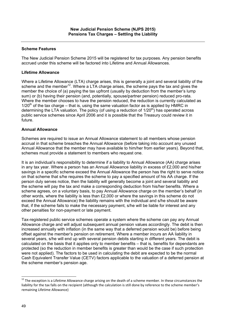The New Judicial Pension Scheme 2015 will be registered for tax purposes. Any pension benefits accrued under this scheme will be factored into Lifetime and Annual Allowances.

## **Lifetime Allowance**

Where a Lifetime Allowance (LTA) charge arises, this is generally a joint and several liability of the scheme and the member<sup>12</sup>. Where a LTA charge arises, the scheme pays the tax and gives the member the choice of (a) paying the tax upfront (usually by deduction from the member's lump sum) or (b) having their pension (and, potentially, spouse/partner pension) reduced pro-rata. Where the member chooses to have the pension reduced, the reduction is currently calculated as  $1/20<sup>th</sup>$  of the tax charge – that is, using the same valuation factor as is applied by HMRC in determining the LTA valuation. The policy (of using a reduction of  $1/20<sup>th</sup>$ ) has operated across public service schemes since April 2006 and it is possible that the Treasury could review it in future.

## **Annual Allowance**

Schemes are required to issue an Annual Allowance statement to all members whose pension accrual in that scheme breaches the Annual Allowance (before taking into account any unused Annual Allowance that the member may have available to him/her from earlier years). Beyond that, schemes must provide a statement to members who request one.

It is an individual's responsibility to determine if a liability to Annual Allowance (AA) charge arises in any tax year. Where a person has an Annual Allowance liability in excess of £2,000 and his/her savings in a specific scheme exceed the Annual Allowance the person has the right to serve notice on that scheme that s/he requires the scheme to pay a specified amount of his AA charge. If the person duly serves notice, then the liability will generally become a joint and several liability and the scheme will pay the tax and make a corresponding deduction from his/her benefits. Where a scheme agrees, on a voluntary basis, to pay Annual Allowance charge on the member's behalf (in other words, where the liability is less than £2,000 or where the savings in this scheme do not exceed the Annual Allowance) the liability remains with the individual and s/he should be aware that, if the scheme fails to make the necessary payment, s/he will be liable for interest and any other penalties for non-payment or late payment.

Tax-registered public service schemes operate a system where the scheme can pay any Annual Allowance charge and will adjust subsequent annual pension values accordingly. The debit is then increased annually with inflation (in the same way that a deferred pension would be) before being offset against the member's pension on retirement. Where a member incurs an AA liability in several years, s/he will end up with several pension debits starting in different years. The debit is calculated on the basis that it applies only to member benefits – that is, benefits for dependants are protected (so the reduction in member benefits is greater than would be the case if such protection were not applied). The factors to be used in calculating the debit are expected to be the normal Cash Equivalent Transfer Value (CETV) factors applicable to the valuation of a deferred pension at the scheme member's pension age.

 $^{12}$  The exception is a Lifetime Allowance charge arising on the death of a scheme member. In these circumstances the liability for the tax falls on the recipient (although the calculation is still done by reference to the scheme member's remaining Lifetime Allowance)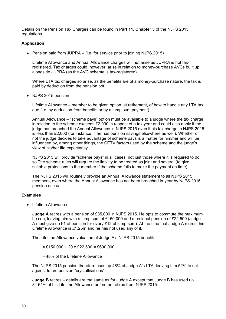Details on the Pension Tax Charges can be found in **Part 11, Chapter 3** of the NJPS 2015 regulations.

## **Application**

• Pension paid from JUPRA – (i.e. for service prior to joining NJPS 2015)

Lifetime Allowance and Annual Allowance charges will not arise as JUPRA is not taxregistered. Tax charges could, however, arise in relation to money-purchase AVCs built up alongside JUPRA (as the AVC scheme is tax-registered).

Where LTA tax charges so arise, as the benefits are of a money-purchase nature, the tax is paid by deduction from the pension pot.

• NJPS 2015 pension

Lifetime Allowance – member to be given option, at retirement, of how to handle any LTA tax due (i.e. by deduction from benefits or by a lump sum payment).

Annual Allowance – "scheme pays" option must be available to a judge where the tax charge in relation to the scheme exceeds £2,000 in respect of a tax year and could also apply if the judge has breached the Annual Allowance in NJPS 2015 even if his tax charge in NJPS 2015 is less than £2,000 (for instance, if he has pension savings elsewhere as well). Whether or not the judge decides to take advantage of scheme pays is a matter for him/her and will be influenced by, among other things, the CETV factors used by the scheme and the judge's view of his/her life expectancy.

NJPS 2015 will provide "scheme pays" in all cases, not just those where it is required to do so The scheme rules will require the liability to be treated as joint and several (to give suitable protections to the member if the scheme fails to make the payment on time).

The NJPS 2015 will routinely provide an Annual Allowance statement to all NJPS 2015 members, even where the Annual Allowance has not been breached in-year by NJPS 2015 pension accrual.

## **Examples**

• Lifetime Allowance

**Judge A** retires with a pension of £35,000 in NJPS 2015. He opts to commute the maximum he can, leaving him with a lump sum of £150,000 and a residual pension of £22,500 (Judge A must give up £1 of pension for every £12 of lump sum). At the time that Judge A retires, his Lifetime Allowance is £1.25m and he has not used any of it.

The Lifetime Allowance valuation of Judge A's NJPS 2015 benefits

- $=$  £150,000 + 20 x £22,500 = £600,000
- = 48% of the Lifetime Allowance

The NJPS 2015 pension therefore uses up 48% of Judge A's LTA, leaving him 52% to set against future pension "crystallisations".

**Judge B** retires – details are the same as for Judge A except that Judge B has used up 84.64% of his Lifetime Allowance before he retires from NJPS 2015.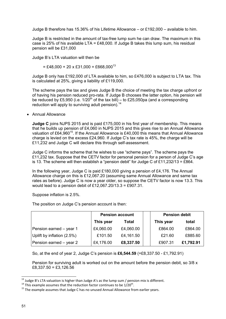Judge B therefore has 15.36% of his Lifetime Allowance – or £192,000 – available to him.

Judge B is restricted in the amount of tax-free lump sum he can draw. The maximum in this case is 25% of his available LTA =  $£48,000$ . If Judge B takes this lump sum, his residual pension will be £31,000

Judge B's LTA valuation will then be

 $= \text{\pounds}48,000 + 20 \times \text{\pounds}31,000 = \text{\pounds}668,000^{13}$ 

Judge B only has £192,000 of LTA available to him, so £476,000 is subject to LTA tax. This is calculated at 25%, giving a liability of £119,000.

The scheme pays the tax and gives Judge B the choice of meeting the tax charge upfront or of having his pension reduced pro-rata. If Judge B chooses the latter option, his pension will be reduced by £5,950 (i.e.  $1/20^{th}$  of the tax bill) – to £25,050pa (and a corresponding reduction will apply to surviving adult pension).<sup>14</sup>

Annual Allowance

**Judge C** joins NJPS 2015 and is paid £175,000 in his first year of membership. This means that he builds up pension of £4,060 in NJPS 2015 and this gives rise to an Annual Allowance valuation of £64,960<sup>15</sup>. If the Annual Allowance is £40,000 this means that Annual Allowance charge is levied on the excess £24,960. If Judge C's tax rate is 45%, the charge will be £11,232 and Judge C will declare this through self-assessment.

Judge C informs the scheme that he wishes to use "scheme pays". The scheme pays the £11,232 tax. Suppose that the CETV factor for personal pension for a person of Judge C's age is 13. The scheme will then establish a "pension debit" for Judge C of £11,232/13 = £864.

In the following year, Judge C is paid £180,000 giving a pension of £4,176. The Annual Allowance charge on this is £12,067.20 (assuming same Annual Allowance and same tax rates as before). Judge C is now a year older, so suppose the CETV factor is now 13.3. This would lead to a pension debit of £12,067.20/13.3 = £907.31.

Suppose inflation is 2.5%.

The position on Judge C's pension account is then:

|                            | <b>Pension account</b> |           | <b>Pension debit</b> |           |
|----------------------------|------------------------|-----------|----------------------|-----------|
|                            | This year              | Total     | This year            | total     |
| Pension earned - year 1    | £4,060.00              | £4,060.00 | £864.00              | £864.00   |
| Uplift by inflation (2.5%) | £101.50                | £4,161.50 | £21.60               | £885.60   |
| Pension earned - year 2    | £4,176.00              | £8,337.50 | £907.31              | £1,792.91 |

So, at the end of year 2, Judge C's pension is **£6,544.59** (=£8,337.50 - £1,792.91)

Pension for surviving adult is worked out on the amount before the pension debit, so 3/8 x £8,337.50 = £3,126,56

<sup>&</sup>lt;sup>13</sup> Judge B's LTA valuation is higher than Judge A's as the lump sum / pension mix is different.<br><sup>14</sup> This example assumes that the reduction factor continues to be 1/20<sup>th</sup>.<br><sup>15</sup> The example assumes that Judge C has no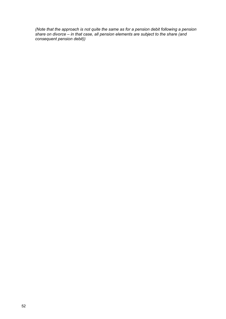*(Note that the approach is not quite the same as for a pension debit following a pension share on divorce – in that case, all pension elements are subject to the share (and consequent pension debit))*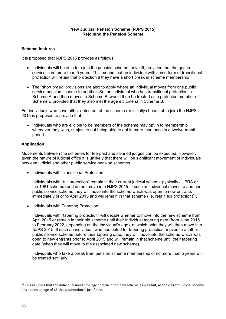It is proposed that NJPS 2015 provides as follows:

- Individuals will be able to rejoin the pension scheme they left, provided that the gap in service is no more than 5 years. This means that an individual with some form of transitional protection will retain that protection if they have a short break in scheme membership
- The "short break" provisions are also to apply where an individual moves from one public service pension scheme to another. So, an individual who has transitional protection in Scheme A and then moves to Scheme B, would then be treated as a protected member of Scheme B provided that they also met the age etc criteria in Scheme B.

For individuals who have either opted out of the scheme (or initially chose not to join) the NJPS 2015 is proposed to provide that:

• Individuals who are eligible to be members of the scheme may opt in to membership whenever they wish, subject to not being able to opt in more than once in a twelve-month period

## **Application**

Movements between the schemes for fee-paid and salaried judges can be expected. However, given the nature of judicial office it is unlikely that there will be significant movement of individuals between judicial and other public service pension schemes.

• Individuals with Transitional Protection

Individuals with "full protection" remain in their current judicial scheme (typically JUPRA or the 1981 scheme) and do not move into NJPS 2015. If such an individual moves to another public service scheme they will move into the scheme which was open to new entrants immediately prior to April 2015 and will remain in that scheme (i.e. retain full protection)<sup>16</sup>.

• Individuals with Tapering Protection

Individuals with "tapering protection" will decide whether to move into the new scheme from April 2015 or remain in their old scheme until their individual tapering date (from June 2015 to February 2022, depending on the individual's age), at which point they will then move into NJPS 2015. If such an individual, who has opted for tapering protection, moves to another public service scheme before their tapering date, they will move into the scheme which was open to new entrants prior to April 2015 and will remain in that scheme until their tapering date (when they will move to the associated new scheme).

Individuals who take a break from pension scheme membership of no more than 5 years will be treated similarly.

 $16$  This assumes that the individual meets the age criteria in the new scheme as well but, as the current judicial scheme has a pension age of 65 this assumption is justifiable.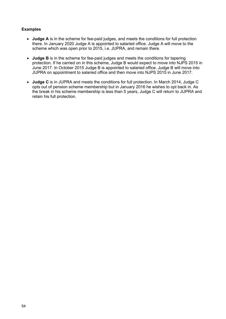## **Examples**

- **Judge A** is in the scheme for fee-paid judges, and meets the conditions for full protection there. In January 2020 Judge A is appointed to salaried office. Judge A will move to the scheme which was open prior to 2015, i.e. JUPRA, and remain there.
- **Judge B** is in the scheme for fee-paid judges and meets the conditions for tapering protection. If he carried on in this scheme, Judge B would expect to move into NJPS 2015 in June 2017. In October 2015 Judge B is appointed to salaried office. Judge B will move into JUPRA on appointment to salaried office and then move into NJPS 2015 in June 2017.
- **Judge C** is in JUPRA and meets the conditions for full protection. In March 2014, Judge C opts out of pension scheme membership but in January 2016 he wishes to opt back in. As the break in his scheme membership is less than 5 years, Judge C will return to JUPRA and retain his full protection.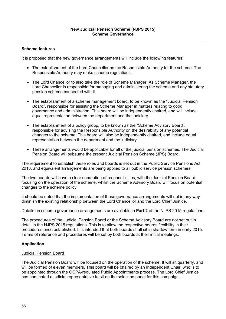It is proposed that the new governance arrangements will include the following features:

- The establishment of the Lord Chancellor as the Responsible Authority for the scheme. The Responsible Authority may make scheme regulations.
- The Lord Chancellor to also take the role of Scheme Manager. As Scheme Manager, the Lord Chancellor is responsible for managing and administering the scheme and any statutory pension scheme connected with it.
- The establishment of a scheme management board, to be known as the "Judicial Pension Board", responsible for assisting the Scheme Manager in matters relating to good governance and administration. This board will be independently chaired, and will include equal representation between the department and the judiciary.
- The establishment of a policy group, to be known as the "Scheme Advisory Board", responsible for advising the Responsible Authority on the desirability of any potential changes to the scheme. This board will also be independently chaired, and include equal representation between the department and the judiciary.
- These arrangements would be applicable for all of the judicial pension schemes. The Judicial Pension Board will subsume the present Judicial Pension Scheme (JPS) Board.

The requirement to establish these roles and boards is set out in the Public Service Pensions Act 2013, and equivalent arrangements are being applied to all public service pension schemes.

The two boards will have a clear separation of responsibilities, with the Judicial Pension Board focusing on the operation of the scheme, whilst the Scheme Advisory Board will focus on potential changes to the scheme policy.

It should be noted that the implementation of these governance arrangements will not in any way diminish the existing relationship between the Lord Chancellor and the Lord Chief Justice.

Details on scheme governance arrangements are available in **Part 2** of the NJPS 2015 regulations.

The procedures of the Judicial Pension Board or the Scheme Advisory Board are not set out in detail in the NJPS 2015 regulations. This is to allow the respective boards flexibility in their procedures once established. It is intended that both boards shall sit in shadow form in early 2015. Terms of reference and procedures will be set by both boards at their initial meetings.

## **Application**

#### Judicial Pension Board

The Judicial Pension Board will be focused on the operation of the scheme. It will sit quarterly, and will be formed of eleven members. This board will be chaired by an Independent Chair, who is to be appointed through the OCPA-regulated Public Appointments process. The Lord Chief Justice has nominated a judicial representative to sit on the selection panel for this campaign.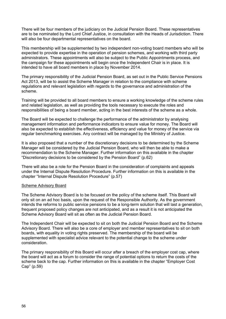There will be four members of the judiciary on the Judicial Pension Board. These representatives are to be nominated by the Lord Chief Justice, in consultation with the Heads of Jurisdiction. There will also be four departmental representatives on the board.

This membership will be supplemented by two independent non-voting board members who will be expected to provide expertise in the operation of pension schemes, and working with third party administrators. These appointments will also be subject to the Public Appointments process, and the campaign for these appointments will begin once the Independent Chair is in place. It is intended to have all board members in place by November 2014.

The primary responsibility of the Judicial Pension Board, as set out in the Public Service Pensions Act 2013, will be to assist the Scheme Manager in relation to the compliance with scheme regulations and relevant legislation with regards to the governance and administration of the scheme.

Training will be provided to all board members to ensure a working knowledge of the scheme rules and related legislation, as well as providing the tools necessary to execute the roles and responsibilities of being a board member, acting in the best interests of the scheme as a whole.

The Board will be expected to challenge the performance of the administrator by analysing management information and performance indicators to ensure value for money. The Board will also be expected to establish the effectiveness, efficiency and value for money of the service via regular benchmarking exercises. Any contract will be managed by the Ministry of Justice.

It is also proposed that a number of the discretionary decisions to be determined by the Scheme Manager will be considered by the Judicial Pension Board, who will then be able to make a recommendation to the Scheme Manager. Further information on this available in the chapter "Discretionary decisions to be considered by the Pension Board" (p.62)

There will also be a role for the Pension Board in the consideration of complaints and appeals under the Internal Dispute Resolution Procedure. Further information on this is available in the chapter "Internal Dispute Resolution Procedure" (p.57)

#### Scheme Advisory Board

The Scheme Advisory Board is to be focused on the policy of the scheme itself. This Board will only sit on an ad hoc basis, upon the request of the Responsible Authority. As the government intends the reforms to public service pensions to be a long-term solution that will last a generation, frequent proposed policy changes are not anticipated, and as a result it is not anticipated the Scheme Advisory Board will sit as often as the Judicial Pension Board.

The Independent Chair will be expected to sit on both the Judicial Pension Board and the Scheme Advisory Board. There will also be a core of employer and member representatives to sit on both boards, with equality in voting rights preserved. The membership of the board will be supplemented with specialist advice relevant to the potential change to the scheme under consideration.

The primary responsibility of this Board will occur after a breach of the employer cost cap, where the board will act as a forum to consider the range of potential options to return the costs of the scheme back to the cap. Further information on this is available in the chapter "Employer Cost Cap" (p.59)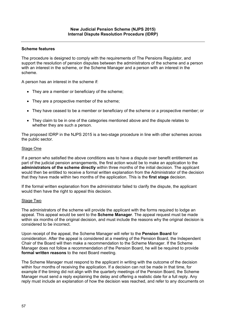The procedure is designed to comply with the requirements of The Pensions Regulator, and support the resolution of pension disputes between the administrators of the scheme and a person with an interest in the scheme, or the Scheme Manager and a person with an interest in the scheme.

A person has an interest in the scheme if:

- They are a member or beneficiary of the scheme:
- They are a prospective member of the scheme;
- They have ceased to be a member or beneficiary of the scheme or a prospective member; or
- They claim to be in one of the categories mentioned above and the dispute relates to whether they are such a person.

The proposed IDRP in the NJPS 2015 is a two-stage procedure in line with other schemes across the public sector.

#### Stage One

If a person who satisfied the above conditions was to have a dispute over benefit entitlement as part of the judicial pension arrangements, the first action would be to make an application to the **administrators of the scheme directly** within three months of the initial decision. The applicant would then be entitled to receive a formal written explanation from the Administrator of the decision that they have made within two months of the application. This is the **first stage** decision.

If the formal written explanation from the administrator failed to clarify the dispute, the applicant would then have the right to appeal this decision.

#### Stage Two

The administrators of the scheme will provide the applicant with the forms required to lodge an appeal. This appeal would be sent to the **Scheme Manager**. The appeal request must be made within six months of the original decision, and must include the reasons why the original decision is considered to be incorrect.

Upon receipt of the appeal, the Scheme Manager will refer to the **Pension Board** for consideration. After the appeal is considered at a meeting of the Pension Board, the Independent Chair of the Board will then make a recommendation to the Scheme Manager. If the Scheme Manager does not follow a recommendation of the Pension Board, he will be required to provide **formal written reasons** to the next Board meeting.

The Scheme Manager must respond to the applicant in writing with the outcome of the decision within four months of receiving the application. If a decision can not be made in that time, for example if the timing did not align with the quarterly meetings of the Pension Board, the Scheme Manager must send a reply explaining the delay and offering a realistic date for a full reply. Any reply must include an explanation of how the decision was reached, and refer to any documents on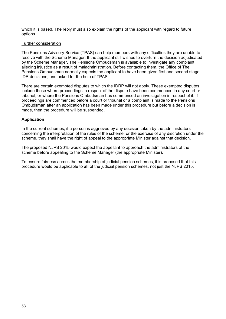which it is based. The reply must also explain the rights of the applicant with regard to future options.

## Further consideration

The Pensions Advisory Service (TPAS) can help members with any difficulties they are unable to resolve with the Scheme Manager. If the applicant still wishes to overturn the decision adjudicated by the Scheme Manager, The Pensions Ombudsman is available to investigate any complaint alleging injustice as a result of maladministration. Before contacting them, the Office of The Pensions Ombudsman normally expects the applicant to have been given first and second stage IDR decisions, and asked for the help of TPAS.

There are certain exempted disputes to which the IDRP will not apply. These exempted disputes include those where proceedings in respect of the dispute have been commenced in any court or tribunal, or where the Pensions Ombudsman has commenced an investigation in respect of it. If proceedings are commenced before a court or tribunal or a complaint is made to the Pensions Ombudsman after an application has been made under this procedure but before a decision is made, then the procedure will be suspended.

## **Application**

In the current schemes, if a person is aggrieved by any decision taken by the administrators concerning the interpretation of the rules of the scheme, or the exercise of any discretion under the scheme, they shall have the right of appeal to the appropriate Minister against that decision.

The proposed NJPS 2015 would expect the appellant to approach the administrators of the scheme before appealing to the Scheme Manager (the appropriate Minister).

To ensure fairness across the membership of judicial pension schemes, it is proposed that this procedure would be applicable to **all** of the judicial pension schemes, not just the NJPS 2015.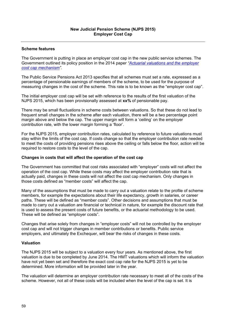The Government is putting in place an employer cost cap in the new public service schemes. The Government outlined its policy position in the 2014 paper *["Actuarial valuations and the employer](https://www.gov.uk/government/publications/public-service-pensions-actuarial-valuations-and-the-employer-cost-cap-mechanism)  [cost cap mechanism"](https://www.gov.uk/government/publications/public-service-pensions-actuarial-valuations-and-the-employer-cost-cap-mechanism).* 

The Public Service Pensions Act 2013 specifies that all schemes must set a rate, expressed as a percentage of pensionable earnings of members of the scheme, to be used for the purpose of measuring changes in the cost of the scheme. This rate is to be known as the "employer cost cap".

The initial employer cost cap will be set with reference to the results of the first valuation of the NJPS 2015, which has been provisionally assessed at **xx%** of pensionable pay.

There may be small fluctuations in scheme costs between valuations. So that these do not lead to frequent small changes in the scheme after each valuation, there will be a two percentage point margin above and below the cap. The upper margin will form a 'ceiling' on the employer contribution rate, with the lower margin forming a 'floor'.

For the NJPS 2015, employer contribution rates, calculated by reference to future valuations must stay within the limits of the cost cap. If costs change so that the employer contribution rate needed to meet the costs of providing pensions rises above the ceiling or falls below the floor, action will be required to restore costs to the level of the cap.

#### **Changes in costs that will affect the operation of the cost cap**

The Government has committed that cost risks associated with "employer" costs will not affect the operation of the cost cap. While these costs may affect the employer contribution rate that is actually paid, changes in these costs will not affect the cost cap mechanism. Only changes in those costs defined as "member costs" will affect the cap.

Many of the assumptions that must be made to carry out a valuation relate to the profile of scheme members, for example the expectations about their life expectancy, growth in salaries, or career paths. These will be defined as "member costs". Other decisions and assumptions that must be made to carry out a valuation are financial or technical in nature, for example the discount rate that is used to assess the present costs of future benefits, or the actuarial methodology to be used. These will be defined as "employer costs".

Changes that arise solely from changes in "employer costs" will not be controlled by the employer cost cap and will not trigger changes in member contributions or benefits. Public service employers, and ultimately the Exchequer, will bear the risks of changes in these costs.

#### **Valuation**

The NJPS 2015 will be subject to a valuation every four years. As mentioned above, the first valuation is due to be completed by June 2014. The HMT valuations which will inform the valuation have not yet been set and therefore the exact cost cap rate for the NJPS 2015 is yet to be determined. More information will be provided later in the year.

The valuation will determine an employer contribution rate necessary to meet all of the costs of the scheme. However, not all of these costs will be included when the level of the cap is set. It is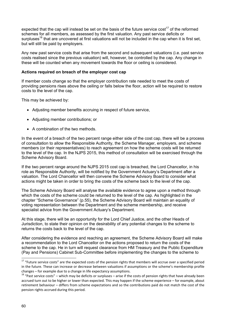expected that the cap will instead be set on the basis of the future service cost<sup>17</sup> of the reformed schemes for all members, as assessed by the first valuation. Any past service deficits or surpluses<sup>18</sup> that are uncovered at first valuations will not be included in the cap when it is first set, but will still be paid by employers.

Any new past service costs that arise from the second and subsequent valuations (i.e. past service costs realised since the previous valuation) will, however, be controlled by the cap. Any change in these will be counted when any movement towards the floor or ceiling is considered.

### **Actions required on breach of the employer cost cap**

If member costs change so that the employer contribution rate needed to meet the costs of providing pensions rises above the ceiling or falls below the floor, action will be required to restore costs to the level of the cap.

This may be achieved by:

- Adjusting member benefits accruing in respect of future service,
- Adjusting member contributions; or
- A combination of the two methods.

In the event of a breach of the two percent range either side of the cost cap, there will be a process of consultation to allow the Responsible Authority, the Scheme Manager, employers, and scheme members (or their representatives) to reach agreement on how the scheme costs will be returned to the level of the cap. In the NJPS 2015, this method of consultation will be exercised through the Scheme Advisory Board.

If the two percent range around the NJPS 2015 cost cap is breached, the Lord Chancellor, in his role as Responsible Authority, will be notified by the Government Actuary's Department after a valuation. The Lord Chancellor will then convene the Scheme Advisory Board to consider what actions might be taken in order to bring the costs of the scheme back to the level of the cap.

The Scheme Advisory Board will analyse the available evidence to agree upon a method through which the costs of the scheme could be returned to the level of the cap. As highlighted in the chapter "Scheme Governance" (p.55), the Scheme Advisory Board will maintain an equality of voting representation between the Department and the scheme membership, and receive specialist advice from the Government Actuary's Department.

At this stage, there will be an opportunity for the Lord Chief Justice, and the other Heads of Jurisdiction, to state their opinion on the desirability of any potential changes to the scheme to returns the costs back to the level of the cap.

After considering the evidence and reaching an agreement, the Scheme Advisory Board will make a recommendation to the Lord Chancellor on the actions proposed to return the costs of the scheme to the cap. He in turn will request clearance from HM Treasury and the Public Expenditure (Pay and Pensions) Cabinet Sub-Committee before implementing the changes to the scheme to

 $17$  "Future service costs" are the expected costs of the pension rights that members will accrue over a specified period in the future. These can increase or decrease between valuations if assumptions or the scheme's membership profile changes – for example due to a change in life expectancy assumptions.<br><sup>18</sup> "Past service costs" – which may be deficits or surpluses – arise if the costs of pension rights that have already been

accrued turn out to be higher or lower than expected. This may happen if the scheme experience – for example, about retirement behaviour – differs from scheme expectations and so the contributions paid do not match the cost of the pension rights accrued during this period.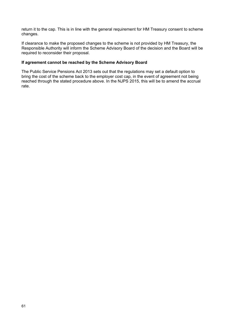return it to the cap. This is in line with the general requirement for HM Treasury consent to scheme changes.

If clearance to make the proposed changes to the scheme is not provided by HM Treasury, the Responsible Authority will inform the Scheme Advisory Board of the decision and the Board will be required to reconsider their proposal.

## **If agreement cannot be reached by the Scheme Advisory Board**

The Public Service Pensions Act 2013 sets out that the regulations may set a default option to bring the cost of the scheme back to the employer cost cap, in the event of agreement not being reached through the stated procedure above. In the NJPS 2015, this will be to amend the accrual rate.